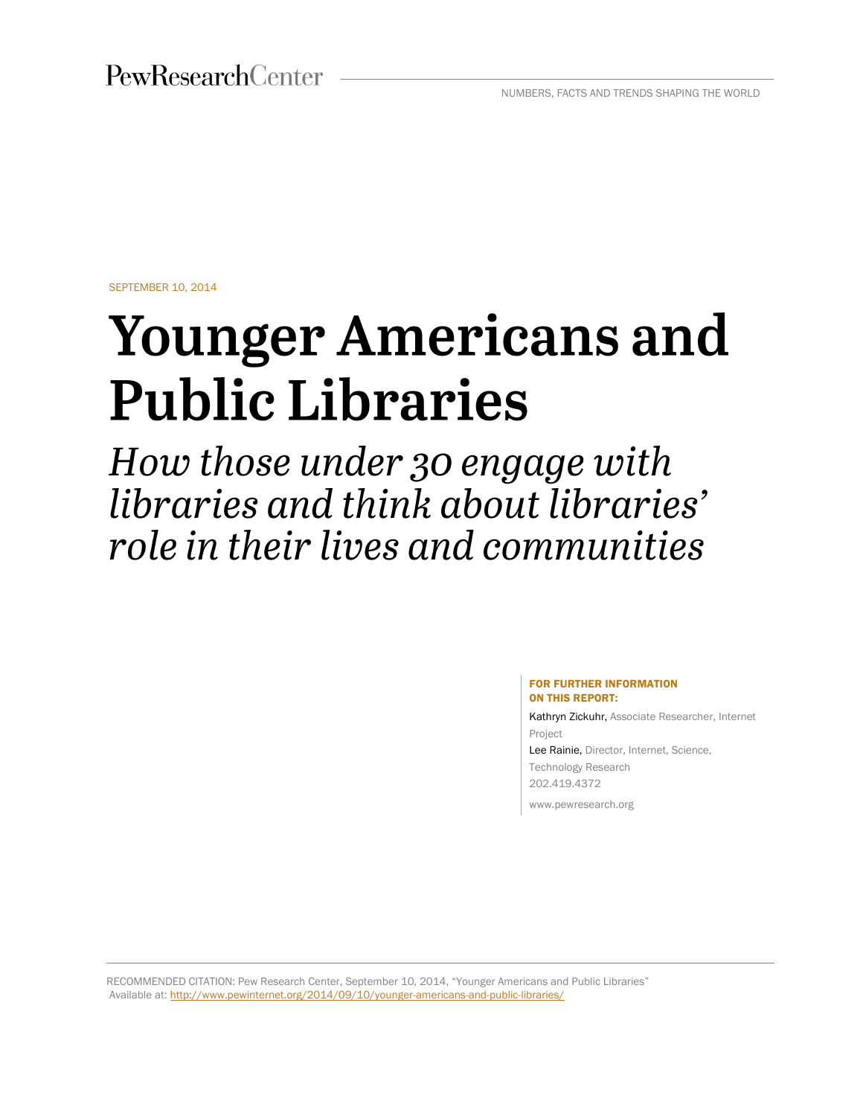PewResearchCenter

NUMBERS, FACTS AND TRENDS SHAPING THE WORLD

SEPTEMBER 10, 2014

# **Younger Americans and Public Libraries**

How those under 30 engage with libraries and think about libraries' role in their lives and communities

#### FOR FURTHER INFORMATION ON THIS REPORT:

Kathryn Zickuhr, Associate Researcher, Internet Project Lee Rainie, Director, Internet, Science, Technology Research

202.419.4372 www.pewresearch.org

RECOMMENDED CITATION: Pew Research Center, September 10, 2014, "Younger Americans and Public Libraries" Available at[: http://www.pewinternet.org/2014/09/10/younger-americans-and-public-libraries/](http://www.pewinternet.org/2014/09/10/younger-americans-and-public-libraries/)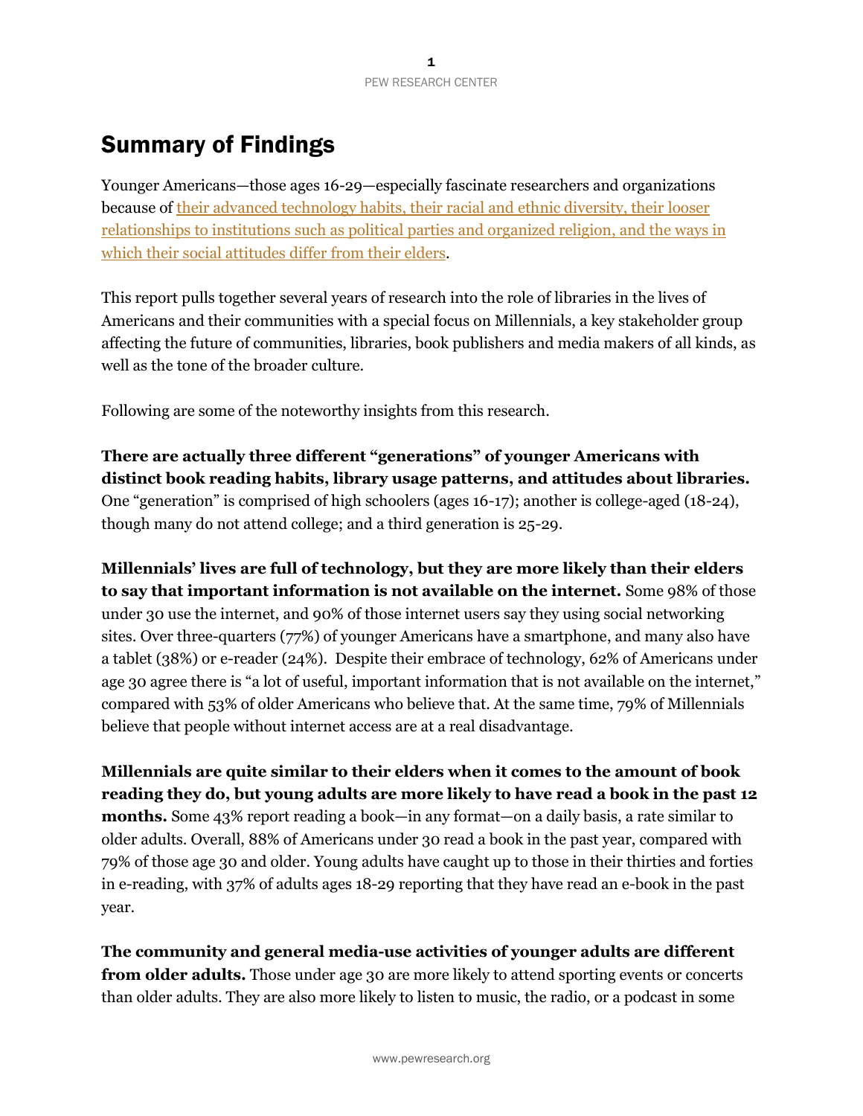# Summary of Findings

Younger Americans—those ages 16-29—especially fascinate researchers and organizations because of their advanced technology habits, their racial and ethnic diversity, their looser relationships to institutions [such as political parties and organized religion, and the ways in](http://www.pewsocialtrends.org/2014/03/07/millennials-in-adulthood/)  which their [social attitudes differ from their elders.](http://www.pewsocialtrends.org/2014/03/07/millennials-in-adulthood/)

This report pulls together several years of research into the role of libraries in the lives of Americans and their communities with a special focus on Millennials, a key stakeholder group affecting the future of communities, libraries, book publishers and media makers of all kinds, as well as the tone of the broader culture.

Following are some of the noteworthy insights from this research.

**There are actually three different "generations" of younger Americans with distinct book reading habits, library usage patterns, and attitudes about libraries.** One "generation" is comprised of high schoolers (ages 16-17); another is college-aged (18-24), though many do not attend college; and a third generation is 25-29.

**Millennials' lives are full of technology, but they are more likely than their elders to say that important information is not available on the internet.** Some 98% of those under 30 use the internet, and 90% of those internet users say they using social networking sites. Over three-quarters (77%) of younger Americans have a smartphone, and many also have a tablet (38%) or e-reader (24%). Despite their embrace of technology, 62% of Americans under age 30 agree there is "a lot of useful, important information that is not available on the internet," compared with 53% of older Americans who believe that. At the same time, 79% of Millennials believe that people without internet access are at a real disadvantage.

**Millennials are quite similar to their elders when it comes to the amount of book reading they do, but young adults are more likely to have read a book in the past 12 months.** Some 43% report reading a book—in any format—on a daily basis, a rate similar to older adults. Overall, 88% of Americans under 30 read a book in the past year, compared with 79% of those age 30 and older. Young adults have caught up to those in their thirties and forties in e-reading, with 37% of adults ages 18-29 reporting that they have read an e-book in the past year.

**The community and general media-use activities of younger adults are different from older adults.** Those under age 30 are more likely to attend sporting events or concerts than older adults. They are also more likely to listen to music, the radio, or a podcast in some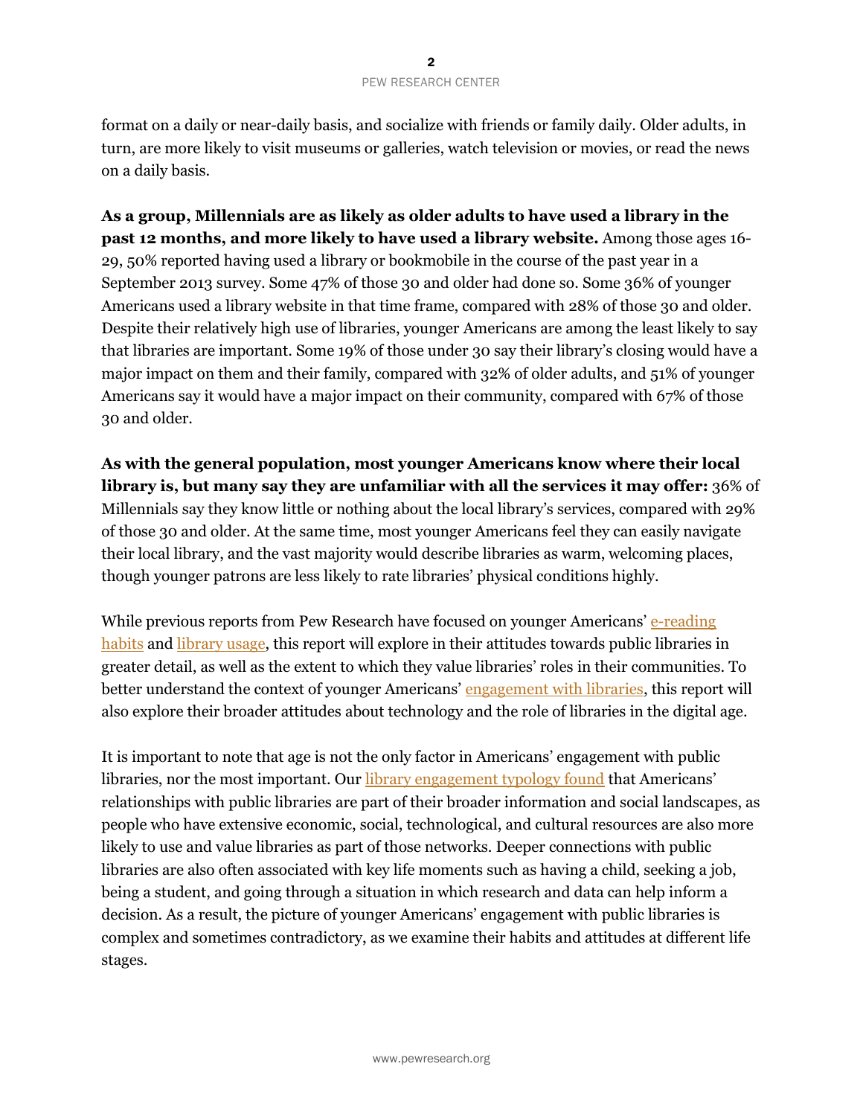format on a daily or near-daily basis, and socialize with friends or family daily. Older adults, in turn, are more likely to visit museums or galleries, watch television or movies, or read the news on a daily basis.

**As a group, Millennials are as likely as older adults to have used a library in the past 12 months, and more likely to have used a library website.** Among those ages 16- 29, 50% reported having used a library or bookmobile in the course of the past year in a September 2013 survey. Some 47% of those 30 and older had done so. Some 36% of younger Americans used a library website in that time frame, compared with 28% of those 30 and older. Despite their relatively high use of libraries, younger Americans are among the least likely to say that libraries are important. Some 19% of those under 30 say their library's closing would have a major impact on them and their family, compared with 32% of older adults, and 51% of younger Americans say it would have a major impact on their community, compared with 67% of those 30 and older.

**As with the general population, most younger Americans know where their local library is, but many say they are unfamiliar with all the services it may offer:** 36% of Millennials say they know little or nothing about the local library's services, compared with 29% of those 30 and older. At the same time, most younger Americans feel they can easily navigate their local library, and the vast majority would describe libraries as warm, welcoming places, though younger patrons are less likely to rate libraries' physical conditions highly.

While previous reports from Pew Research have focused on younger Americans' e-reading [habits](http://libraries.pewinternet.org/2012/10/23/younger-americans-reading-and-library-habits/) and [library usage,](http://libraries.pewinternet.org/2013/06/25/younger-americans-library-services/) this report will explore in their attitudes towards public libraries in greater detail, as well as the extent to which they value libraries' roles in their communities. To better understand the context of younger Americans' [engagement with libraries,](http://libraries.pewinternet.org/2013/12/11/libraries-in-communities/) this report will also explore their broader attitudes about technology and the role of libraries in the digital age.

It is important to note that age is not the only factor in Americans' engagement with public libraries, nor the most important. Our [library engagement typology found](http://www.pewinternet.org/2014/03/13/library-engagement-typology/) that Americans' relationships with public libraries are part of their broader information and social landscapes, as people who have extensive economic, social, technological, and cultural resources are also more likely to use and value libraries as part of those networks. Deeper connections with public libraries are also often associated with key life moments such as having a child, seeking a job, being a student, and going through a situation in which research and data can help inform a decision. As a result, the picture of younger Americans' engagement with public libraries is complex and sometimes contradictory, as we examine their habits and attitudes at different life stages.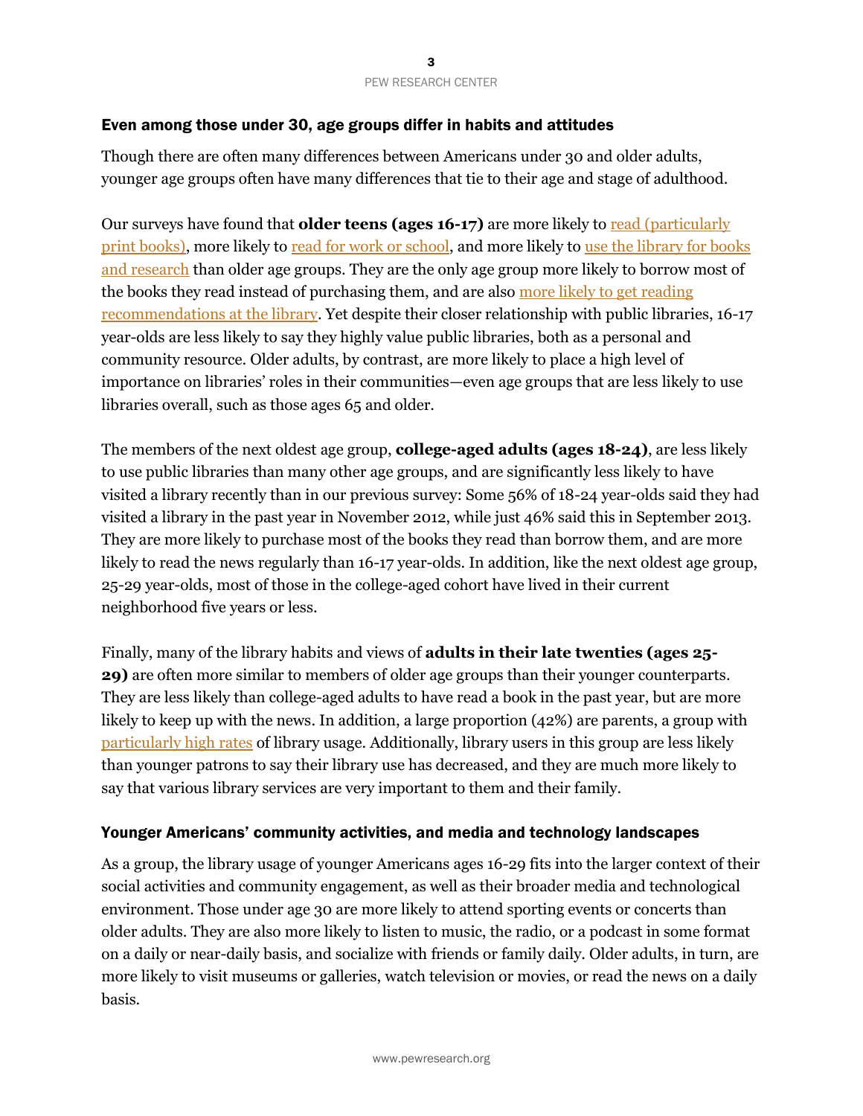# Even among those under 30, age groups differ in habits and attitudes

Though there are often many differences between Americans under 30 and older adults, younger age groups often have many differences that tie to their age and stage of adulthood.

Our surveys have found that **older teens (ages 16-17)** are more likely to read (particularly [print books\),](http://libraries.pewinternet.org/2013/06/25/part-1-a-portrait-of-younger-americans-reading-habits-and-technology-use/) more likely t[o read for work or school,](http://libraries.pewinternet.org/2012/10/23/part-1-younger-americans-changing-reading-habits/) and more likely to use the library for books [and research](http://libraries.pewinternet.org/2012/10/23/part-3-library-use-and-importance/) than older age groups. They are the only age group more likely to borrow most of the books they read instead of purchasing them, and are also [more likely to get reading](http://libraries.pewinternet.org/2012/10/23/part-2-where-young-people-discover-and-get-their-books/)  [recommendations at the library.](http://libraries.pewinternet.org/2012/10/23/part-2-where-young-people-discover-and-get-their-books/) Yet despite their closer relationship with public libraries, 16-17 year-olds are less likely to say they highly value public libraries, both as a personal and community resource. Older adults, by contrast, are more likely to place a high level of importance on libraries' roles in their communities—even age groups that are less likely to use libraries overall, such as those ages 65 and older.

The members of the next oldest age group, **college-aged adults (ages 18-24)**, are less likely to use public libraries than many other age groups, and are significantly less likely to have visited a library recently than in our previous survey: Some 56% of 18-24 year-olds said they had visited a library in the past year in November 2012, while just 46% said this in September 2013. They are more likely to purchase most of the books they read than borrow them, and are more likely to read the news regularly than 16-17 year-olds. In addition, like the next oldest age group, 25-29 year-olds, most of those in the college-aged cohort have lived in their current neighborhood five years or less.

Finally, many of the library habits and views of **adults in their late twenties (ages 25- 29)** are often more similar to members of older age groups than their younger counterparts. They are less likely than college-aged adults to have read a book in the past year, but are more likely to keep up with the news. In addition, a large proportion (42%) are parents, a group with [particularly high rates](http://libraries.pewinternet.org/2013/05/01/parents-children-libraries-and-reading/) of library usage. Additionally, library users in this group are less likely than younger patrons to say their library use has decreased, and they are much more likely to say that various library services are very important to them and their family.

## Younger Americans' community activities, and media and technology landscapes

As a group, the library usage of younger Americans ages 16-29 fits into the larger context of their social activities and community engagement, as well as their broader media and technological environment. Those under age 30 are more likely to attend sporting events or concerts than older adults. They are also more likely to listen to music, the radio, or a podcast in some format on a daily or near-daily basis, and socialize with friends or family daily. Older adults, in turn, are more likely to visit museums or galleries, watch television or movies, or read the news on a daily basis.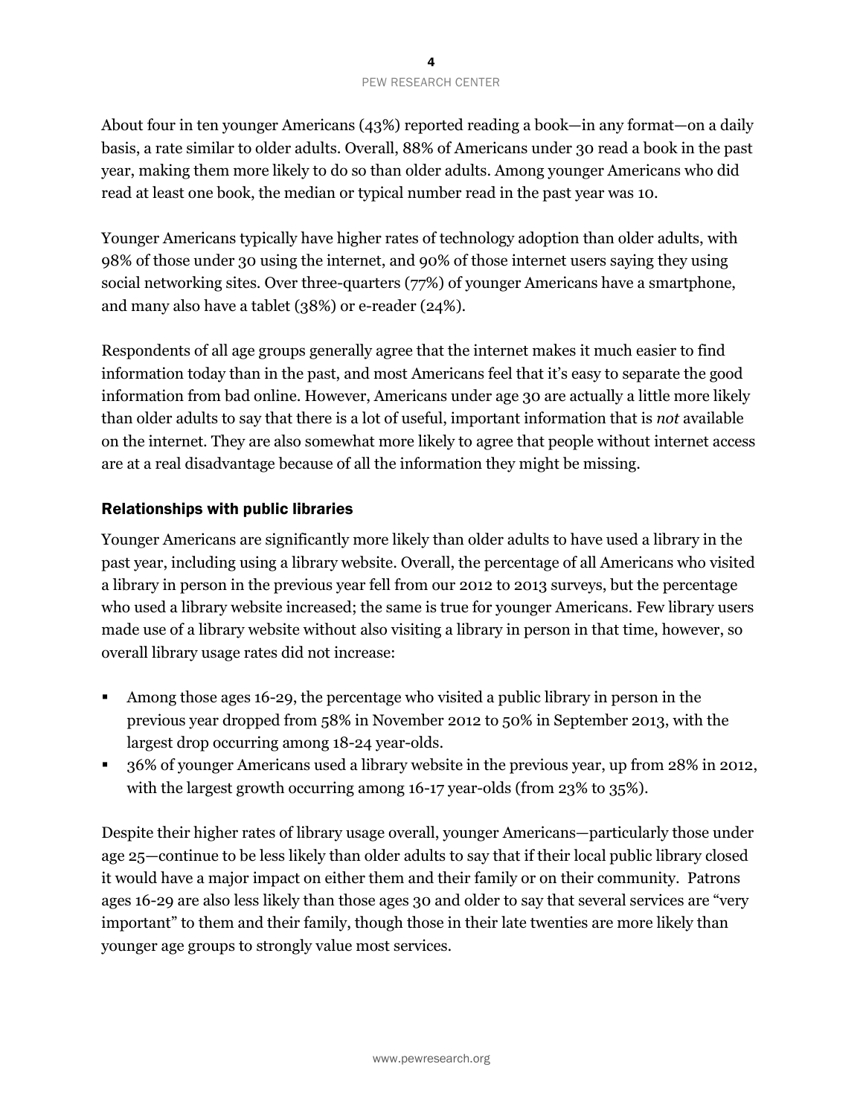About four in ten younger Americans (43%) reported reading a book—in any format—on a daily basis, a rate similar to older adults. Overall, 88% of Americans under 30 read a book in the past year, making them more likely to do so than older adults. Among younger Americans who did read at least one book, the median or typical number read in the past year was 10.

Younger Americans typically have higher rates of technology adoption than older adults, with 98% of those under 30 using the internet, and 90% of those internet users saying they using social networking sites. Over three-quarters (77%) of younger Americans have a smartphone, and many also have a tablet (38%) or e-reader (24%).

Respondents of all age groups generally agree that the internet makes it much easier to find information today than in the past, and most Americans feel that it's easy to separate the good information from bad online. However, Americans under age 30 are actually a little more likely than older adults to say that there is a lot of useful, important information that is *not* available on the internet. They are also somewhat more likely to agree that people without internet access are at a real disadvantage because of all the information they might be missing.

# Relationships with public libraries

Younger Americans are significantly more likely than older adults to have used a library in the past year, including using a library website. Overall, the percentage of all Americans who visited a library in person in the previous year fell from our 2012 to 2013 surveys, but the percentage who used a library website increased; the same is true for younger Americans. Few library users made use of a library website without also visiting a library in person in that time, however, so overall library usage rates did not increase:

- Among those ages 16-29, the percentage who visited a public library in person in the previous year dropped from 58% in November 2012 to 50% in September 2013, with the largest drop occurring among 18-24 year-olds.
- 36% of younger Americans used a library website in the previous year, up from 28% in 2012, with the largest growth occurring among 16-17 year-olds (from 23% to 35%).

Despite their higher rates of library usage overall, younger Americans—particularly those under age 25—continue to be less likely than older adults to say that if their local public library closed it would have a major impact on either them and their family or on their community. Patrons ages 16-29 are also less likely than those ages 30 and older to say that several services are "very important" to them and their family, though those in their late twenties are more likely than younger age groups to strongly value most services.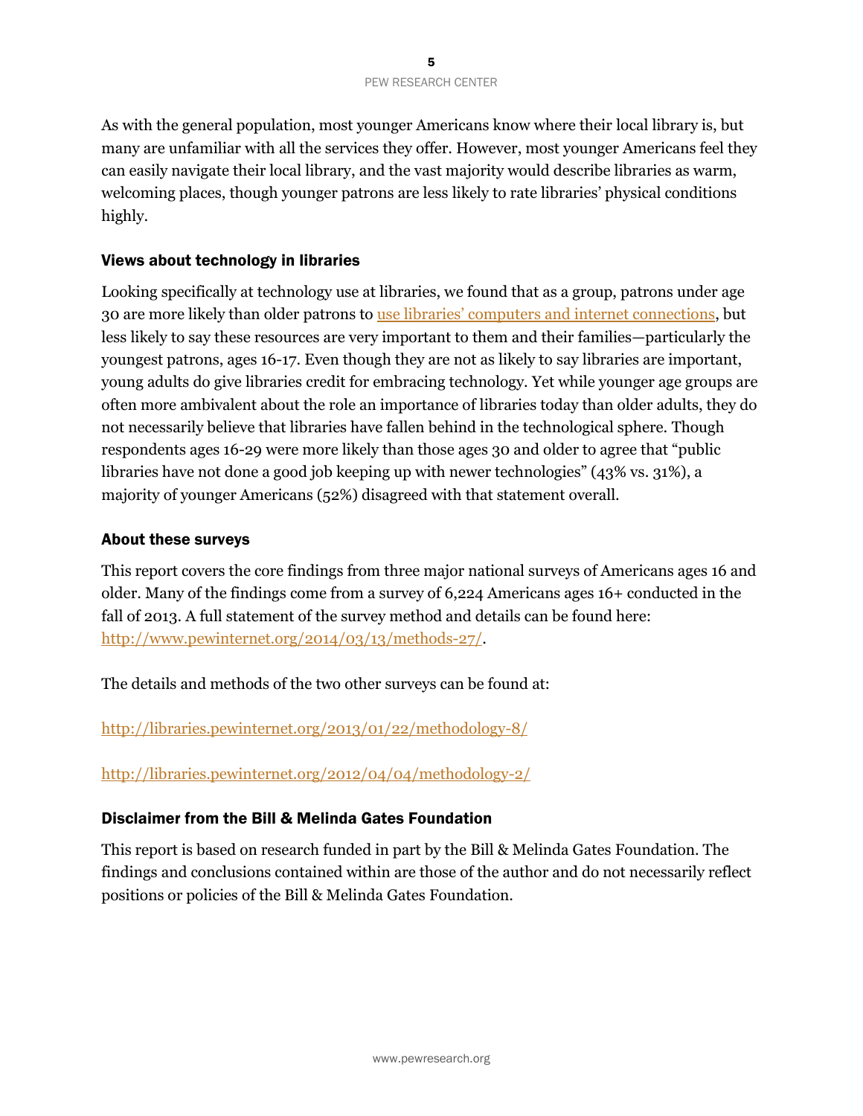As with the general population, most younger Americans know where their local library is, but many are unfamiliar with all the services they offer. However, most younger Americans feel they can easily navigate their local library, and the vast majority would describe libraries as warm, welcoming places, though younger patrons are less likely to rate libraries' physical conditions highly.

# Views about technology in libraries

Looking specifically at technology use at libraries, we found that as a group, patrons under age 30 are more likely than older patrons to use libraries' computers [and internet connections,](http://libraries.pewinternet.org/2013/06/25/part-3-library-patrons-activities-and-expectations/) but less likely to say these resources are very important to them and their families—particularly the youngest patrons, ages 16-17. Even though they are not as likely to say libraries are important, young adults do give libraries credit for embracing technology. Yet while younger age groups are often more ambivalent about the role an importance of libraries today than older adults, they do not necessarily believe that libraries have fallen behind in the technological sphere. Though respondents ages 16-29 were more likely than those ages 30 and older to agree that "public libraries have not done a good job keeping up with newer technologies" (43% vs. 31%), a majority of younger Americans (52%) disagreed with that statement overall.

# About these surveys

This report covers the core findings from three major national surveys of Americans ages 16 and older. Many of the findings come from a survey of 6,224 Americans ages 16+ conducted in the fall of 2013. A full statement of the survey method and details can be found here: [http://www.pewinternet.org/2014/03/13/methods-27/.](http://www.pewinternet.org/2014/03/13/methods-27/)

The details and methods of the two other surveys can be found at:

<http://libraries.pewinternet.org/2013/01/22/methodology-8/>

<http://libraries.pewinternet.org/2012/04/04/methodology-2/>

# Disclaimer from the Bill & Melinda Gates Foundation

This report is based on research funded in part by the Bill & Melinda Gates Foundation. The findings and conclusions contained within are those of the author and do not necessarily reflect positions or policies of the Bill & Melinda Gates Foundation.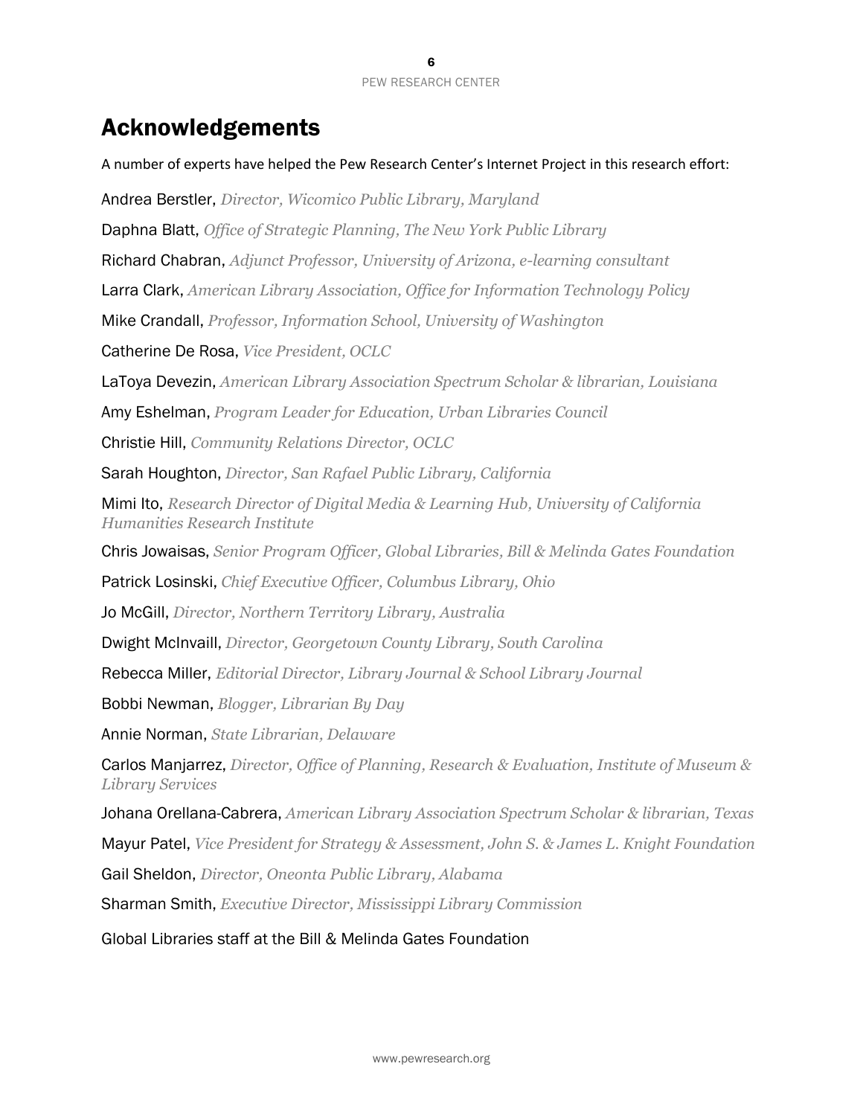# Acknowledgements

A number of experts have helped the Pew Research Center's Internet Project in this research effort: Andrea Berstler, *Director, Wicomico Public Library, Maryland* Daphna Blatt, *Office of Strategic Planning, The New York Public Library* Richard Chabran, *Adjunct Professor, University of Arizona, e-learning consultant* Larra Clark, *American Library Association, Office for Information Technology Policy* Mike Crandall, *Professor, Information School, University of Washington* Catherine De Rosa, *Vice President, OCLC* LaToya Devezin, *American Library Association Spectrum Scholar & librarian, Louisiana* Amy Eshelman, *Program Leader for Education, Urban Libraries Council* Christie Hill, *Community Relations Director, OCLC* Sarah Houghton, *Director, San Rafael Public Library, California* Mimi Ito, *Research Director of Digital Media & Learning Hub, University of California Humanities Research Institute* Chris Jowaisas, *Senior Program Officer, Global Libraries, Bill & Melinda Gates Foundation* Patrick Losinski, *Chief Executive Officer, Columbus Library, Ohio* Jo McGill, *Director, Northern Territory Library, Australia* Dwight McInvaill, *Director, Georgetown County Library, South Carolina* Rebecca Miller, *Editorial Director, Library Journal & School Library Journal* Bobbi Newman, *Blogger, Librarian By Day* Annie Norman, *State Librarian, Delaware*  Carlos Manjarrez, *Director, Office of Planning, Research & Evaluation, Institute of Museum & Library Services* Johana Orellana-Cabrera, *American Library Association Spectrum Scholar & librarian, Texas* Mayur Patel, *Vice President for Strategy & Assessment, John S. & James L. Knight Foundation* Gail Sheldon, *Director, Oneonta Public Library, Alabama* Sharman Smith, *Executive Director, Mississippi Library Commission*

Global Libraries staff at the Bill & Melinda Gates Foundation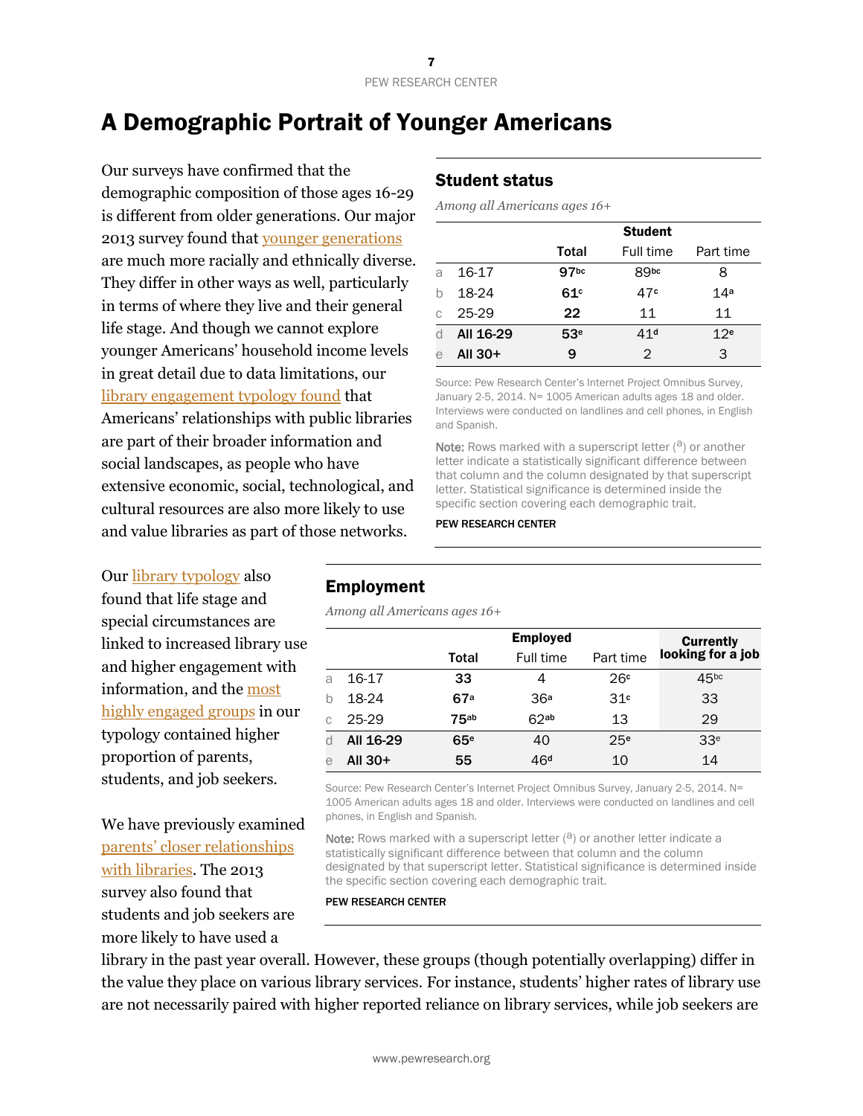# A Demographic Portrait of Younger Americans

Our surveys have confirmed that the demographic composition of those ages 16-29 is different from older generations. Our major 2013 survey found that [younger generations](http://www.pewresearch.org/next-america/) are much more racially and ethnically diverse. They differ in other ways as well, particularly in terms of where they live and their general life stage. And though we cannot explore younger Americans' household income levels in great detail due to data limitations, our [library engagement typology found](http://www.pewinternet.org/2014/03/13/library-engagement-typology/) that Americans' relationships with public libraries are part of their broader information and social landscapes, as people who have extensive economic, social, technological, and cultural resources are also more likely to use and value libraries as part of those networks.

Ou[r library typology](http://www.pewinternet.org/2014/03/13/library-engagement-typology/) also found that life stage and special circumstances are linked to increased library use and higher engagement with information, and the [most](http://www.pewinternet.org/2014/03/13/high-engagement/)  [highly engaged groups](http://www.pewinternet.org/2014/03/13/high-engagement/) in our typology contained higher proportion of parents, students, and job seekers.

We have previously examined [parents' closer relationships](http://libraries.pewinternet.org/2013/05/01/parents-children-libraries-and-reading/)  [with libraries.](http://libraries.pewinternet.org/2013/05/01/parents-children-libraries-and-reading/) The 2013 survey also found that students and job seekers are more likely to have used a

# Student status

*Among all Americans ages 16+*

|   |           |                  | <b>Student</b>  |                 |
|---|-----------|------------------|-----------------|-----------------|
|   |           | Total            | Full time       | Part time       |
| a | 16-17     | 97 <sub>bc</sub> | <b>ROpc</b>     | 8               |
|   | 18-24     | 61c              | 47¢             | 14 <sup>a</sup> |
| C | 25-29     | 22               | 11              | 11              |
|   | All 16-29 | 53 <sup>e</sup>  | 41 <sup>d</sup> | 12 <sup>e</sup> |
| е | All $30+$ | 9                | 2               | З               |

Source: Pew Research Center's Internet Project Omnibus Survey, January 2-5, 2014. N= 1005 American adults ages 18 and older. Interviews were conducted on landlines and cell phones, in English and Spanish.

**Note:** Rows marked with a superscript letter  $(2)$  or another letter indicate a statistically significant difference between that column and the column designated by that superscript letter. Statistical significance is determined inside the specific section covering each demographic trait.

#### PEW RESEARCH CENTER

## Employment

*Among all Americans ages 16+*

|             |           |             | <b>Employed</b> |                 | <b>Currently</b>  |
|-------------|-----------|-------------|-----------------|-----------------|-------------------|
|             |           | Total       | Full time       | Part time       | looking for a job |
| a           | 16-17     | 33          | 4               | 26c             | 45 <sub>bc</sub>  |
| $\mathsf b$ | 18-24     | 67a         | 36 <sup>a</sup> | 31 <sup>c</sup> | 33                |
| C           | 25-29     | <b>75ab</b> | 62ab            | 13              | 29                |
| d           | All 16-29 | 65e         | 40              | 25 <sup>e</sup> | 33 <sup>e</sup>   |
| e           | All $30+$ | 55          | 46 <sup>d</sup> | 10              | 14                |

Source: Pew Research Center's Internet Project Omnibus Survey, January 2-5, 2014. N= 1005 American adults ages 18 and older. Interviews were conducted on landlines and cell phones, in English and Spanish.

Note: Rows marked with a superscript letter  $(2)$  or another letter indicate a statistically significant difference between that column and the column designated by that superscript letter. Statistical significance is determined inside the specific section covering each demographic trait.

PEW RESEARCH CENTER

library in the past year overall. However, these groups (though potentially overlapping) differ in the value they place on various library services. For instance, students' higher rates of library use are not necessarily paired with higher reported reliance on library services, while job seekers are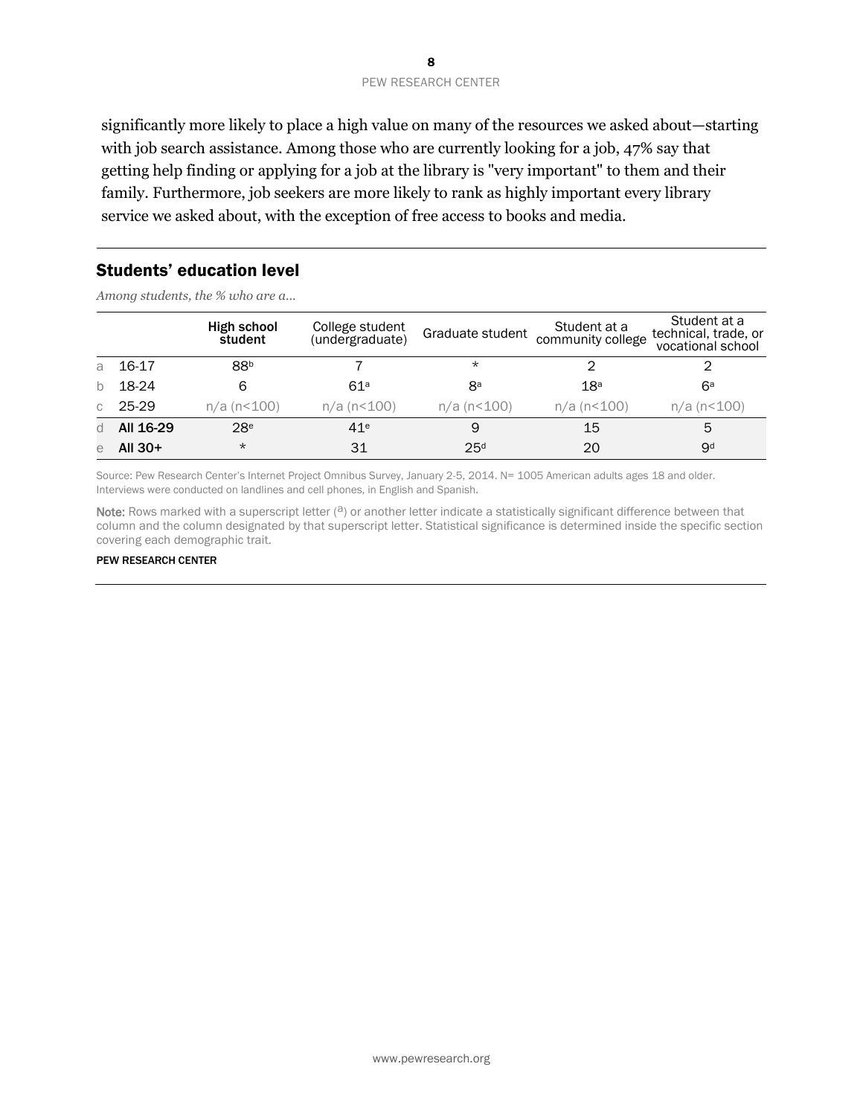significantly more likely to place a high value on many of the resources we asked about—starting with job search assistance. Among those who are currently looking for a job, 47% say that getting help finding or applying for a job at the library is "very important" to them and their family. Furthermore, job seekers are more likely to rank as highly important every library service we asked about, with the exception of free access to books and media.

#### Students' education level

*Among students, the % who are a…*

|              |           | High school<br>student | College student<br>(undergraduate) | Graduate student | Student at a<br>community college | Student at a<br>technical, trade, or<br>vocational school |
|--------------|-----------|------------------------|------------------------------------|------------------|-----------------------------------|-----------------------------------------------------------|
| a            | 16-17     | 88 <sup>b</sup>        |                                    | $\star$          |                                   |                                                           |
| $\mathsf{b}$ | 18-24     | 6                      | 61a                                | 8a               | 18 <sup>a</sup>                   | 6a                                                        |
| C            | 25-29     | $n/a$ ( $n100$ )       | $n/a$ ( $n100$ )                   | $n/a$ ( $n100$ ) | $n/a$ ( $n100$ )                  | n/a (n<100)                                               |
| d            | All 16-29 | 28 <sup>e</sup>        | 41 <sup>e</sup>                    | 9                | 15                                | 5                                                         |
| e            | All $30+$ | $^\star$               | 31                                 | 25 <sup>d</sup>  | 20                                | 9 <sub>d</sub>                                            |

Source: Pew Research Center's Internet Project Omnibus Survey, January 2-5, 2014. N= 1005 American adults ages 18 and older. Interviews were conducted on landlines and cell phones, in English and Spanish.

Note: Rows marked with a superscript letter  $(2)$  or another letter indicate a statistically significant difference between that column and the column designated by that superscript letter. Statistical significance is determined inside the specific section covering each demographic trait.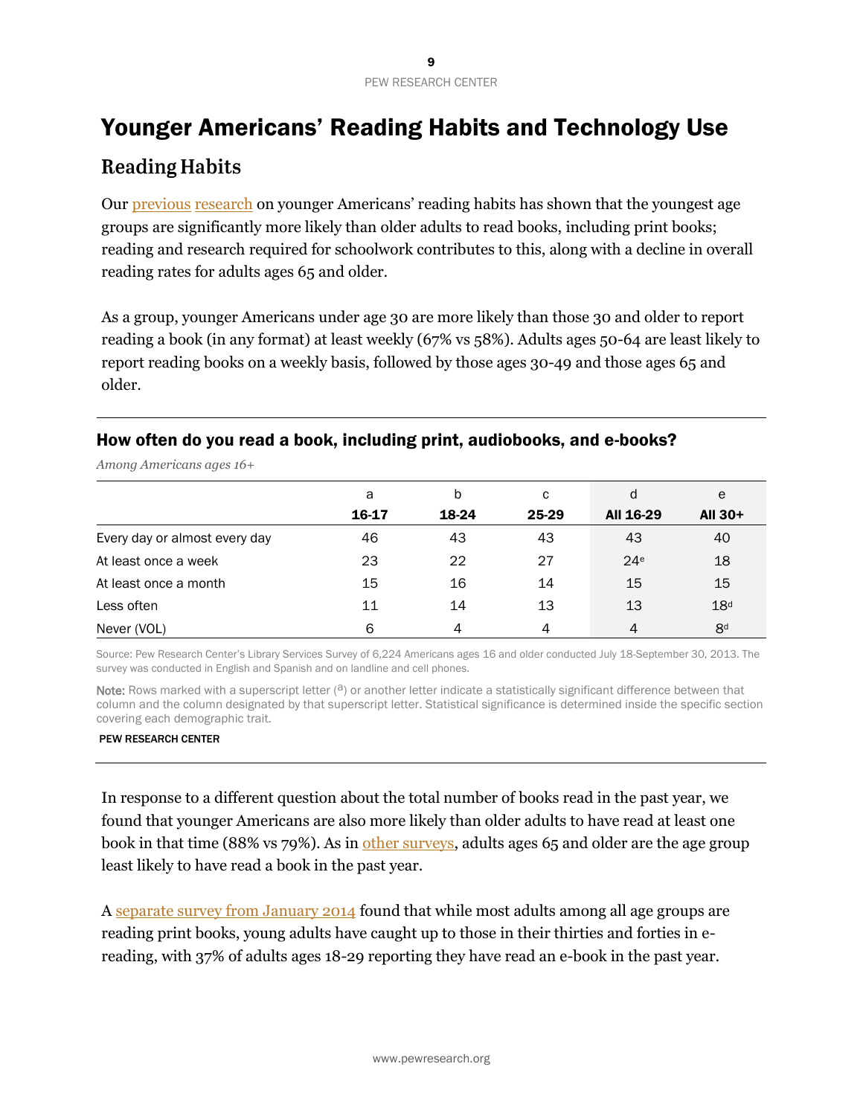# Younger Americans' Reading Habits and Technology Use **Reading Habits**

Ou[r previous](http://libraries.pewinternet.org/2012/10/23/younger-americans-reading-and-library-habits/) [research](http://libraries.pewinternet.org/2013/06/25/younger-americans-library-services/) on younger Americans' reading habits has shown that the youngest age groups are significantly more likely than older adults to read books, including print books; reading and research required for schoolwork contributes to this, along with a decline in overall reading rates for adults ages 65 and older.

As a group, younger Americans under age 30 are more likely than those 30 and older to report reading a book (in any format) at least weekly (67% vs 58%). Adults ages 50-64 are least likely to report reading books on a weekly basis, followed by those ages 30-49 and those ages 65 and older.

# How often do you read a book, including print, audiobooks, and e-books?

| $\overline{ }$<br>້           |       |       |       |                 |                 |
|-------------------------------|-------|-------|-------|-----------------|-----------------|
|                               | a     | b     | C     | d               | e               |
|                               | 16-17 | 18-24 | 25-29 | All 16-29       | All $30+$       |
| Every day or almost every day | 46    | 43    | 43    | 43              | 40              |
| At least once a week          | 23    | 22    | 27    | 24 <sup>e</sup> | 18              |
| At least once a month         | 15    | 16    | 14    | 15              | 15              |
| Less often                    | 11    | 14    | 13    | 13              | 18 <sup>d</sup> |
| Never (VOL)                   | 6     | 4     | 4     | $\overline{4}$  | 8 <sup>d</sup>  |

*Among Americans ages 16+*

Source: Pew Research Center's Library Services Survey of 6,224 Americans ages 16 and older conducted July 18-September 30, 2013. The survey was conducted in English and Spanish and on landline and cell phones.

Note: Rows marked with a superscript letter  $(3)$  or another letter indicate a statistically significant difference between that column and the column designated by that superscript letter. Statistical significance is determined inside the specific section covering each demographic trait.

#### PEW RESEARCH CENTER

In response to a different question about the total number of books read in the past year, we found that younger Americans are also more likely than older adults to have read at least one book in that time (88% vs 79%). As in [other surveys,](http://www.pewinternet.org/2014/01/16/a-snapshot-of-reading-in-america-in-2013/) adults ages 65 and older are the age group least likely to have read a book in the past year.

A [separate survey from January 2014](http://www.pewinternet.org/2014/01/16/a-snapshot-of-reading-in-america-in-2013/) found that while most adults among all age groups are reading print books, young adults have caught up to those in their thirties and forties in ereading, with 37% of adults ages 18-29 reporting they have read an e-book in the past year.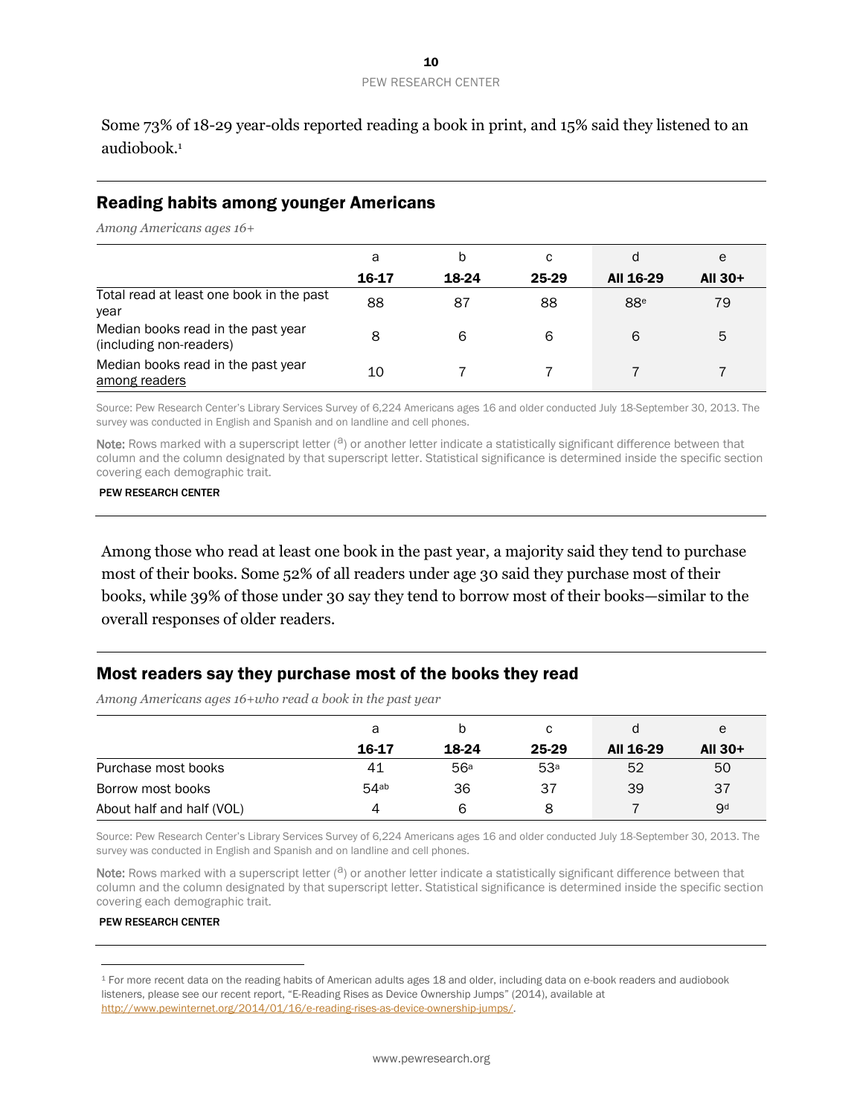Some 73% of 18-29 year-olds reported reading a book in print, and 15% said they listened to an audiobook. 1

#### Reading habits among younger Americans

*Among Americans ages 16+*

|                                                               | a     | b     | С     | d               | e       |
|---------------------------------------------------------------|-------|-------|-------|-----------------|---------|
|                                                               | 16-17 | 18-24 | 25-29 | All 16-29       | All 30+ |
| Total read at least one book in the past<br>year              | 88    | 87    | 88    | 88 <sup>e</sup> | 79      |
| Median books read in the past year<br>(including non-readers) | 8     | 6     | 6     | 6               | 5       |
| Median books read in the past year<br>among readers           | 10    |       |       |                 |         |

Source: Pew Research Center's Library Services Survey of 6,224 Americans ages 16 and older conducted July 18-September 30, 2013. The survey was conducted in English and Spanish and on landline and cell phones.

Note: Rows marked with a superscript letter  $(3)$  or another letter indicate a statistically significant difference between that column and the column designated by that superscript letter. Statistical significance is determined inside the specific section covering each demographic trait.

#### PEW RESEARCH CENTER

Among those who read at least one book in the past year, a majority said they tend to purchase most of their books. Some 52% of all readers under age 30 said they purchase most of their books, while 39% of those under 30 say they tend to borrow most of their books—similar to the overall responses of older readers.

## Most readers say they purchase most of the books they read

*Among Americans ages 16+who read a book in the past year*

|                           | а     |       | с               |           | e              |
|---------------------------|-------|-------|-----------------|-----------|----------------|
|                           | 16-17 | 18-24 | 25-29           | All 16-29 | All 30+        |
| Purchase most books       | 41    | 56a   | 53 <sup>a</sup> | 52        | 50             |
| Borrow most books         | 54ab  | 36    | 37              | 39        | 37             |
| About half and half (VOL) |       | 6     | 8               |           | 9 <sup>d</sup> |

Source: Pew Research Center's Library Services Survey of 6,224 Americans ages 16 and older conducted July 18-September 30, 2013. The survey was conducted in English and Spanish and on landline and cell phones.

Note: Rows marked with a superscript letter  $(2)$  or another letter indicate a statistically significant difference between that column and the column designated by that superscript letter. Statistical significance is determined inside the specific section covering each demographic trait.

#### PEW RESEARCH CENTER

 $\overline{a}$ 

<sup>1</sup> For more recent data on the reading habits of American adults ages 18 and older, including data on e-book readers and audiobook listeners, please see our recent report, "E-Reading Rises as Device Ownership Jumps" (2014), available at [http://www.pewinternet.org/2014/01/16/e-reading-rises-as-device-ownership-jumps/.](http://www.pewinternet.org/2014/01/16/e-reading-rises-as-device-ownership-jumps/)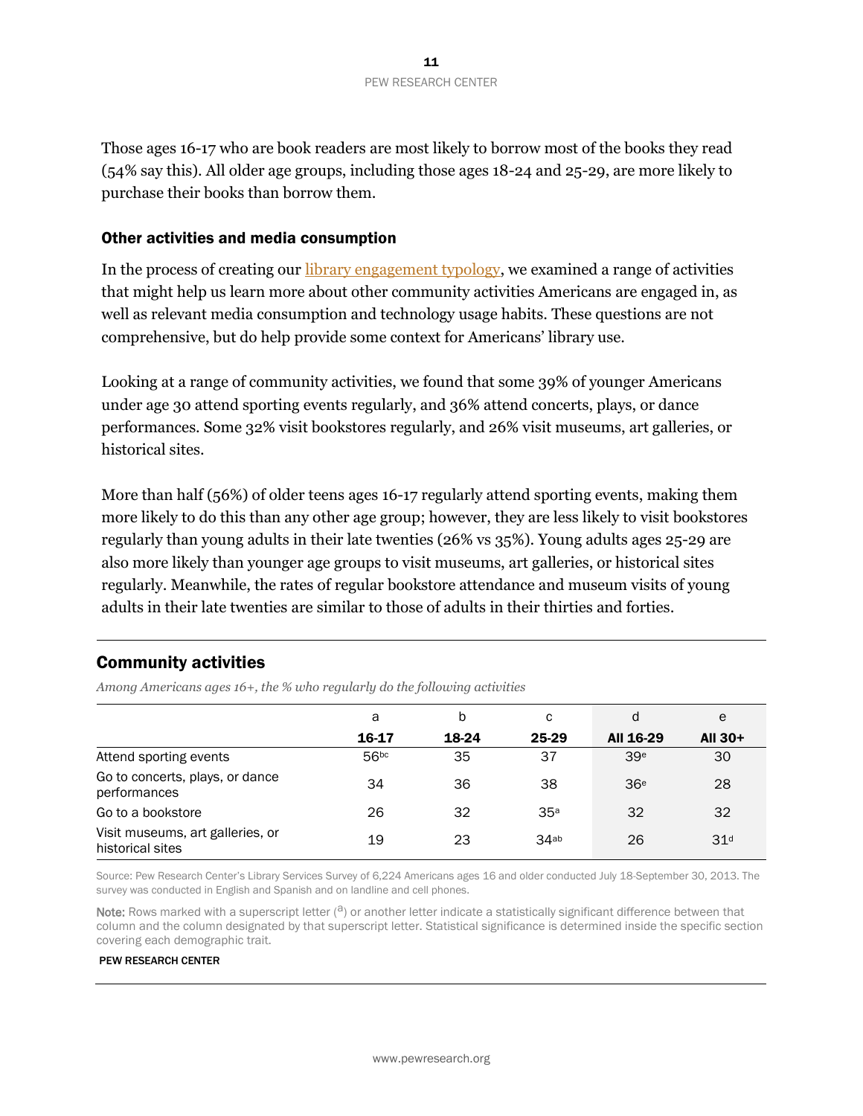Those ages 16-17 who are book readers are most likely to borrow most of the books they read (54% say this). All older age groups, including those ages 18-24 and 25-29, are more likely to purchase their books than borrow them.

#### Other activities and media consumption

In the process of creating our [library engagement typology,](http://www.pewinternet.org/2014/03/13/library-engagement-typology/) we examined a range of activities that might help us learn more about other community activities Americans are engaged in, as well as relevant media consumption and technology usage habits. These questions are not comprehensive, but do help provide some context for Americans' library use.

Looking at a range of community activities, we found that some 39% of younger Americans under age 30 attend sporting events regularly, and 36% attend concerts, plays, or dance performances. Some 32% visit bookstores regularly, and 26% visit museums, art galleries, or historical sites.

More than half (56%) of older teens ages 16-17 regularly attend sporting events, making them more likely to do this than any other age group; however, they are less likely to visit bookstores regularly than young adults in their late twenties (26% vs 35%). Young adults ages 25-29 are also more likely than younger age groups to visit museums, art galleries, or historical sites regularly. Meanwhile, the rates of regular bookstore attendance and museum visits of young adults in their late twenties are similar to those of adults in their thirties and forties.

## Community activities

*Among Americans ages 16+, the % who regularly do the following activities*

|                                                      | a                | b     | с     | d               | e               |
|------------------------------------------------------|------------------|-------|-------|-----------------|-----------------|
|                                                      | 16-17            | 18-24 | 25-29 | All 16-29       | All $30+$       |
| Attend sporting events                               | 56 <sup>bc</sup> | 35    | 37    | 39 <sup>e</sup> | 30              |
| Go to concerts, plays, or dance<br>performances      | 34               | 36    | 38    | 36 <sup>e</sup> | 28              |
| Go to a bookstore                                    | 26               | 32    | 35a   | 32              | 32              |
| Visit museums, art galleries, or<br>historical sites | 19               | 23    | 34ab  | 26              | 31 <sup>d</sup> |

Source: Pew Research Center's Library Services Survey of 6,224 Americans ages 16 and older conducted July 18-September 30, 2013. The survey was conducted in English and Spanish and on landline and cell phones.

Note: Rows marked with a superscript letter  $(3)$  or another letter indicate a statistically significant difference between that column and the column designated by that superscript letter. Statistical significance is determined inside the specific section covering each demographic trait.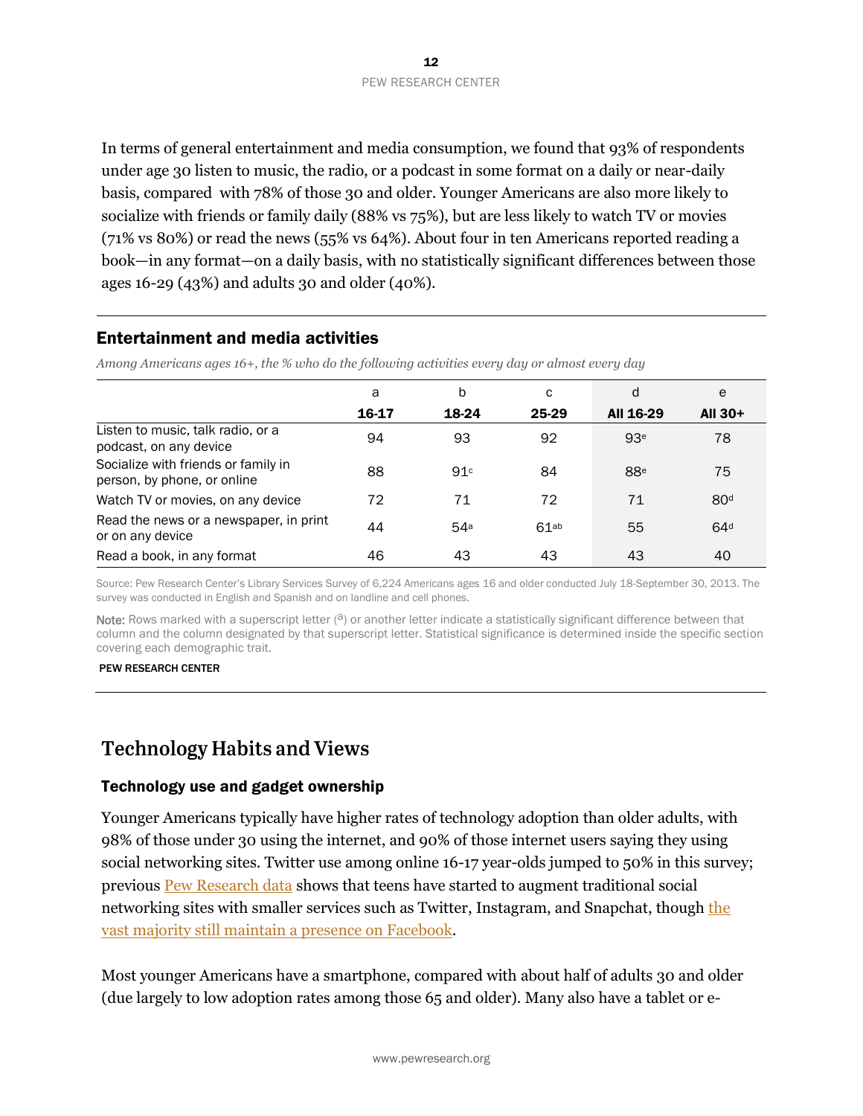In terms of general entertainment and media consumption, we found that 93% of respondents under age 30 listen to music, the radio, or a podcast in some format on a daily or near-daily basis, compared with 78% of those 30 and older. Younger Americans are also more likely to socialize with friends or family daily (88% vs 75%), but are less likely to watch TV or movies (71% vs 80%) or read the news (55% vs 64%). About four in ten Americans reported reading a book—in any format—on a daily basis, with no statistically significant differences between those ages 16-29 (43%) and adults 30 and older (40%).

## Entertainment and media activities

*Among Americans ages 16+, the % who do the following activities every day or almost every day*

|                                                                    | a     | b               | с     | d               | e               |
|--------------------------------------------------------------------|-------|-----------------|-------|-----------------|-----------------|
|                                                                    | 16-17 | 18-24           | 25-29 | All 16-29       | All 30+         |
| Listen to music, talk radio, or a<br>podcast, on any device        | 94    | 93              | 92    | 93 <sup>e</sup> | 78              |
| Socialize with friends or family in<br>person, by phone, or online | 88    | 91 <sup>c</sup> | 84    | 88 <sup>e</sup> | 75              |
| Watch TV or movies, on any device                                  | 72    | 71              | 72    | 71              | 80 <sup>d</sup> |
| Read the news or a newspaper, in print<br>or on any device         | 44    | 54 <sup>a</sup> | 61ab  | 55              | 64 <sup>d</sup> |
| Read a book, in any format                                         | 46    | 43              | 43    | 43              | 40              |

Source: Pew Research Center's Library Services Survey of 6,224 Americans ages 16 and older conducted July 18-September 30, 2013. The survey was conducted in English and Spanish and on landline and cell phones.

Note: Rows marked with a superscript letter  $(3)$  or another letter indicate a statistically significant difference between that column and the column designated by that superscript letter. Statistical significance is determined inside the specific section covering each demographic trait.

PEW RESEARCH CENTER

# **Technology Habits and Views**

## Technology use and gadget ownership

Younger Americans typically have higher rates of technology adoption than older adults, with 98% of those under 30 using the internet, and 90% of those internet users saying they using social networking sites. Twitter use among online 16-17 year-olds jumped to 50% in this survey; previous [Pew Research data](http://www.pewinternet.org/2013/05/21/teens-social-media-and-privacy/) shows that teens have started to augment traditional social networking sites with smaller services such as Twitter, Instagram, and Snapchat, thoug[h the](http://www.pewinternet.org/2013/08/15/teens-havent-abandoned-facebook-yet/)  vast majority [still maintain a presence on Facebook.](http://www.pewinternet.org/2013/08/15/teens-havent-abandoned-facebook-yet/)

Most younger Americans have a smartphone, compared with about half of adults 30 and older (due largely to low adoption rates among those 65 and older). Many also have a tablet or e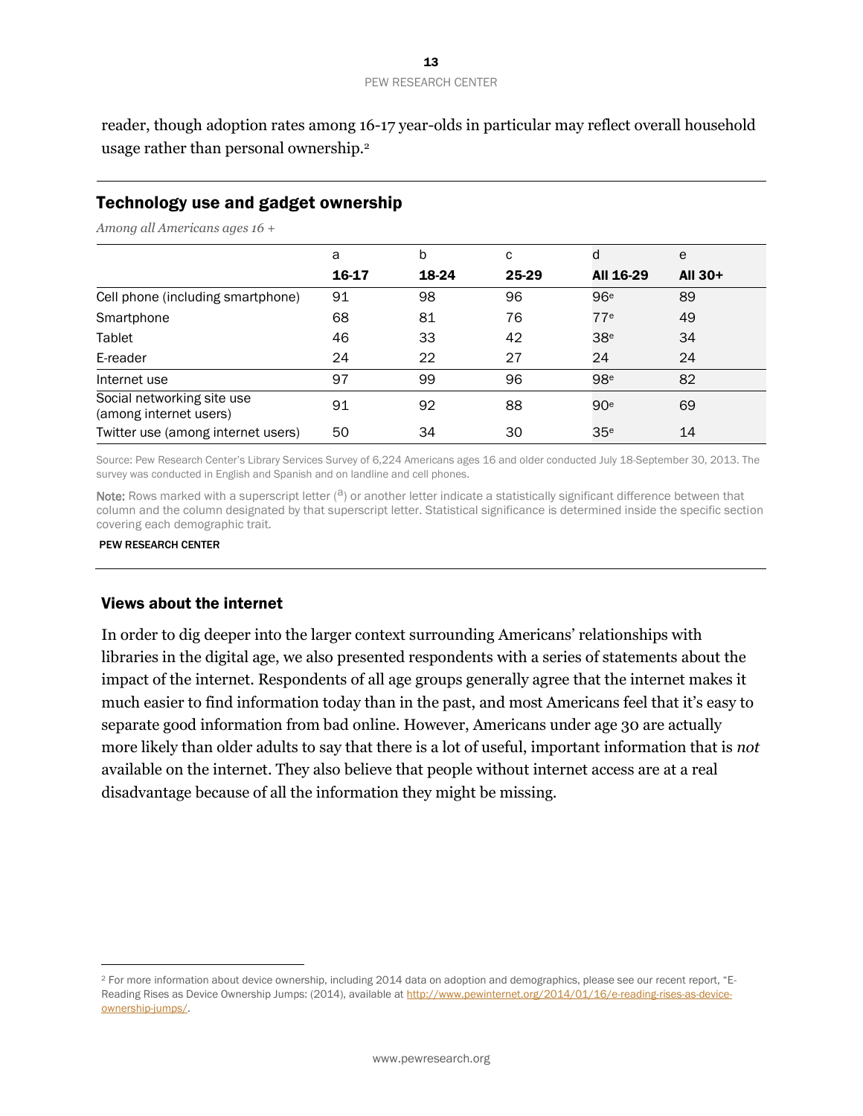reader, though adoption rates among 16-17 year-olds in particular may reflect overall household usage rather than personal ownership.<sup>2</sup>

# Technology use and gadget ownership

*Among all Americans ages 16 +*

|                                                      | a     | b     | C     | d               | e       |
|------------------------------------------------------|-------|-------|-------|-----------------|---------|
|                                                      | 16-17 | 18-24 | 25-29 | All 16-29       | All 30+ |
| Cell phone (including smartphone)                    | 91    | 98    | 96    | 96 <sup>e</sup> | 89      |
| Smartphone                                           | 68    | 81    | 76    | 77 <sup>e</sup> | 49      |
| Tablet                                               | 46    | 33    | 42    | 38 <sup>e</sup> | 34      |
| E-reader                                             | 24    | 22    | 27    | 24              | 24      |
| Internet use                                         | 97    | 99    | 96    | 98 <sup>e</sup> | 82      |
| Social networking site use<br>(among internet users) | 91    | 92    | 88    | 90 <sup>e</sup> | 69      |
| Twitter use (among internet users)                   | 50    | 34    | 30    | 35 <sup>e</sup> | 14      |

Source: Pew Research Center's Library Services Survey of 6,224 Americans ages 16 and older conducted July 18-September 30, 2013. The survey was conducted in English and Spanish and on landline and cell phones.

Note: Rows marked with a superscript letter  $(2)$  or another letter indicate a statistically significant difference between that column and the column designated by that superscript letter. Statistical significance is determined inside the specific section covering each demographic trait.

#### PEW RESEARCH CENTER

 $\overline{a}$ 

#### Views about the internet

In order to dig deeper into the larger context surrounding Americans' relationships with libraries in the digital age, we also presented respondents with a series of statements about the impact of the internet. Respondents of all age groups generally agree that the internet makes it much easier to find information today than in the past, and most Americans feel that it's easy to separate good information from bad online. However, Americans under age 30 are actually more likely than older adults to say that there is a lot of useful, important information that is *not* available on the internet. They also believe that people without internet access are at a real disadvantage because of all the information they might be missing.

<sup>&</sup>lt;sup>2</sup> For more information about device ownership, including 2014 data on adoption and demographics, please see our recent report, "E-Reading Rises as Device Ownership Jumps: (2014), available a[t http://www.pewinternet.org/2014/01/16/e-reading-rises-as-device](http://www.pewinternet.org/2014/01/16/e-reading-rises-as-device-ownership-jumps/)[ownership-jumps/.](http://www.pewinternet.org/2014/01/16/e-reading-rises-as-device-ownership-jumps/)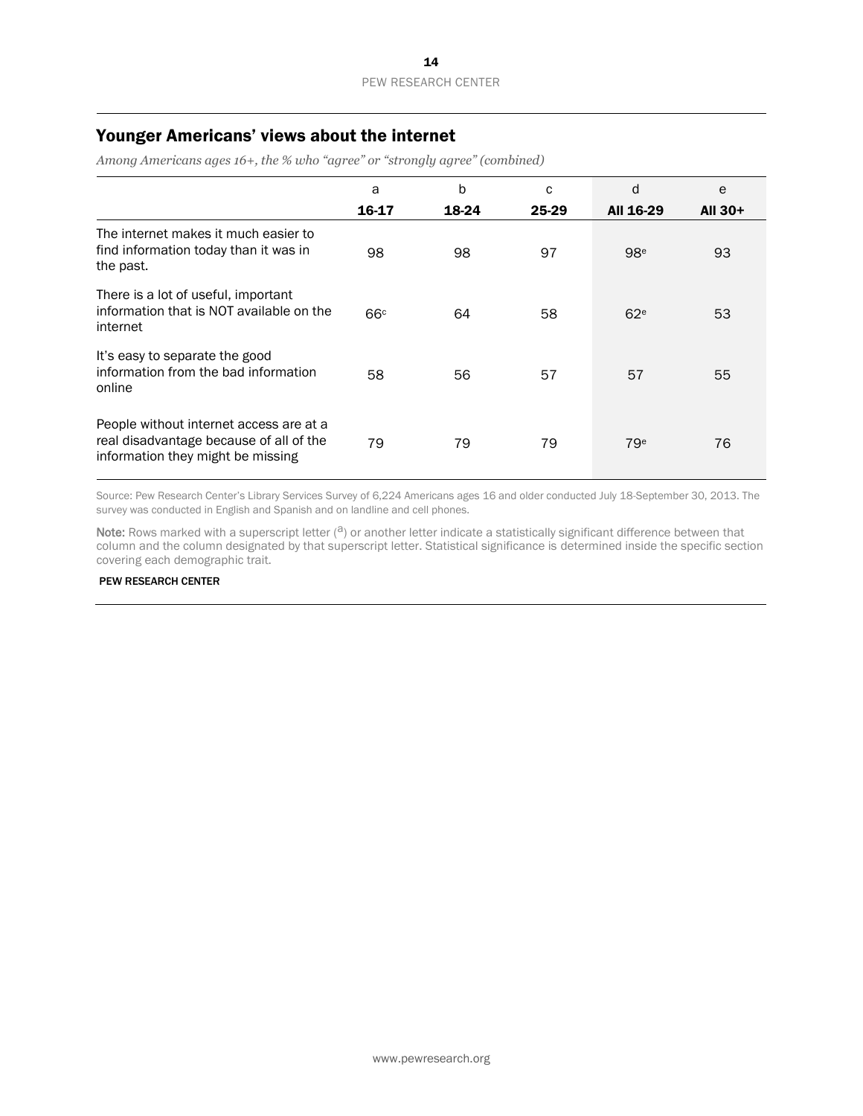# Younger Americans' views about the internet

*Among Americans ages 16+, the % who "agree" or "strongly agree" (combined)* 

|                                                                                                                         | a               | $\mathsf b$ | C     | d               | e       |
|-------------------------------------------------------------------------------------------------------------------------|-----------------|-------------|-------|-----------------|---------|
|                                                                                                                         | 16-17           | 18-24       | 25-29 | All 16-29       | All 30+ |
| The internet makes it much easier to<br>find information today than it was in<br>the past.                              | 98              | 98          | 97    | 98 <sup>e</sup> | 93      |
| There is a lot of useful, important<br>information that is NOT available on the<br>internet                             | 66 <sup>c</sup> | 64          | 58    | 62 <sup>e</sup> | 53      |
| It's easy to separate the good<br>information from the bad information<br>online                                        | 58              | 56          | 57    | 57              | 55      |
| People without internet access are at a<br>real disadvantage because of all of the<br>information they might be missing | 79              | 79          | 79    | 79 <sup>e</sup> | 76      |

Source: Pew Research Center's Library Services Survey of 6,224 Americans ages 16 and older conducted July 18-September 30, 2013. The survey was conducted in English and Spanish and on landline and cell phones.

Note: Rows marked with a superscript letter  $(2)$  or another letter indicate a statistically significant difference between that column and the column designated by that superscript letter. Statistical significance is determined inside the specific section covering each demographic trait.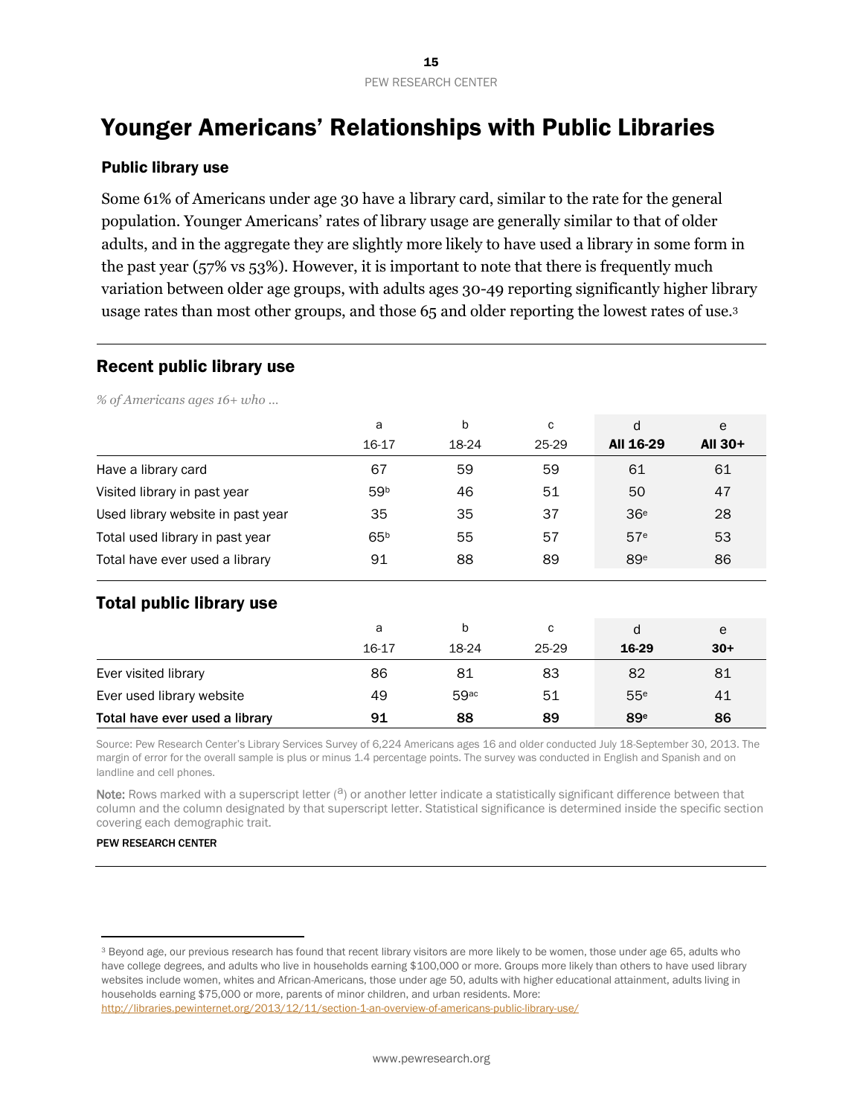# Younger Americans' Relationships with Public Libraries

## Public library use

Some 61% of Americans under age 30 have a library card, similar to the rate for the general population. Younger Americans' rates of library usage are generally similar to that of older adults, and in the aggregate they are slightly more likely to have used a library in some form in the past year (57% vs 53%). However, it is important to note that there is frequently much variation between older age groups, with adults ages 30-49 reporting significantly higher library usage rates than most other groups, and those 65 and older reporting the lowest rates of use.<sup>3</sup>

#### Recent public library use

*% of Americans ages 16+ who …* 

|                                   | a               | b     | C     | d               | e       |
|-----------------------------------|-----------------|-------|-------|-----------------|---------|
|                                   | 16-17           | 18-24 | 25-29 | All 16-29       | All 30+ |
| Have a library card               | 67              | 59    | 59    | 61              | 61      |
| Visited library in past year      | 59 <sup>b</sup> | 46    | 51    | 50              | 47      |
| Used library website in past year | 35              | 35    | 37    | 36 <sup>e</sup> | 28      |
| Total used library in past year   | 65 <sup>b</sup> | 55    | 57    | 57 <sup>e</sup> | 53      |
| Total have ever used a library    | 91              | 88    | 89    | 89 <sup>e</sup> | 86      |
| <b>Total public library use</b>   |                 |       |       |                 |         |
|                                   | a               | b     | C     | d               | e       |
|                                   | 16-17           | 18-24 | 25-29 | 16-29           | $30+$   |
| Ever visited library              | 86              | 81    | 83    | 82              | 81      |
| Ever used library website         | 49              | 59ac  | 51    | 55 <sup>e</sup> | 41      |

Source: Pew Research Center's Library Services Survey of 6,224 Americans ages 16 and older conducted July 18-September 30, 2013. The margin of error for the overall sample is plus or minus 1.4 percentage points. The survey was conducted in English and Spanish and on landline and cell phones.

Total have ever used a library  $91$  88 89 89<sup>e</sup> 86

Note: Rows marked with a superscript letter  $(2)$  or another letter indicate a statistically significant difference between that column and the column designated by that superscript letter. Statistical significance is determined inside the specific section covering each demographic trait.

#### PEW RESEARCH CENTER

 $\overline{a}$ 

<sup>&</sup>lt;sup>3</sup> Beyond age, our previous research has found that recent library visitors are more likely to be women, those under age 65, adults who have college degrees, and adults who live in households earning \$100,000 or more. Groups more likely than others to have used library websites include women, whites and African-Americans, those under age 50, adults with higher educational attainment, adults living in households earning \$75,000 or more, parents of minor children, and urban residents. More: <http://libraries.pewinternet.org/2013/12/11/section-1-an-overview-of-americans-public-library-use/>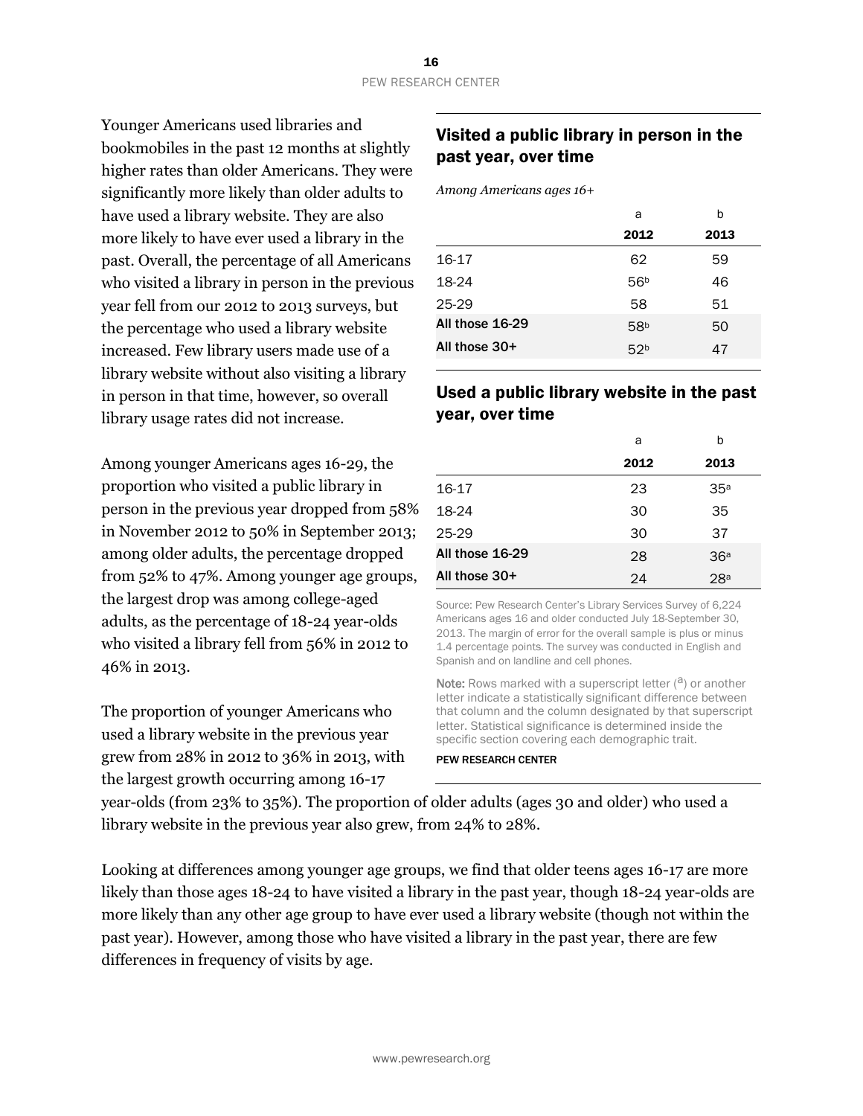Younger Americans used libraries and bookmobiles in the past 12 months at slightly higher rates than older Americans. They were significantly more likely than older adults to have used a library website. They are also more likely to have ever used a library in the past. Overall, the percentage of all Americans who visited a library in person in the previous year fell from our 2012 to 2013 surveys, but the percentage who used a library website increased. Few library users made use of a library website without also visiting a library in person in that time, however, so overall library usage rates did not increase.

Among younger Americans ages 16-29, the proportion who visited a public library in person in the previous year dropped from 58% in November 2012 to 50% in September 2013; among older adults, the percentage dropped from 52% to 47%. Among younger age groups, the largest drop was among college-aged adults, as the percentage of 18-24 year-olds who visited a library fell from 56% in 2012 to 46% in 2013.

The proportion of younger Americans who used a library website in the previous year grew from 28% in 2012 to 36% in 2013, with the largest growth occurring among 16-17

# Visited a public library in person in the past year, over time

*Among Americans ages 16+* 

|                 | a               | b    |
|-----------------|-----------------|------|
|                 | 2012            | 2013 |
| 16-17           | 62              | 59   |
| 18-24           | 56 <sup>b</sup> | 46   |
| $25-29$         | 58              | 51   |
| All those 16-29 | 58 <sup>b</sup> | 50   |
| All those 30+   | 52 <sup>b</sup> | 47   |

# Used a public library website in the past year, over time

|                 | a    | h               |
|-----------------|------|-----------------|
|                 | 2012 | 2013            |
| 16-17           | 23   | 35 <sup>a</sup> |
| 18-24           | 30   | 35              |
| 25-29           | 30   | 37              |
| All those 16-29 | 28   | 36 <sup>a</sup> |
| All those 30+   | 24   | 28a             |

Source: Pew Research Center's Library Services Survey of 6,224 Americans ages 16 and older conducted July 18-September 30, 2013. The margin of error for the overall sample is plus or minus 1.4 percentage points. The survey was conducted in English and Spanish and on landline and cell phones.

**Note:** Rows marked with a superscript letter  $(2)$  or another letter indicate a statistically significant difference between that column and the column designated by that superscript letter. Statistical significance is determined inside the specific section covering each demographic trait.

#### PEW RESEARCH CENTER

year-olds (from 23% to 35%). The proportion of older adults (ages 30 and older) who used a library website in the previous year also grew, from 24% to 28%.

Looking at differences among younger age groups, we find that older teens ages 16-17 are more likely than those ages 18-24 to have visited a library in the past year, though 18-24 year-olds are more likely than any other age group to have ever used a library website (though not within the past year). However, among those who have visited a library in the past year, there are few differences in frequency of visits by age.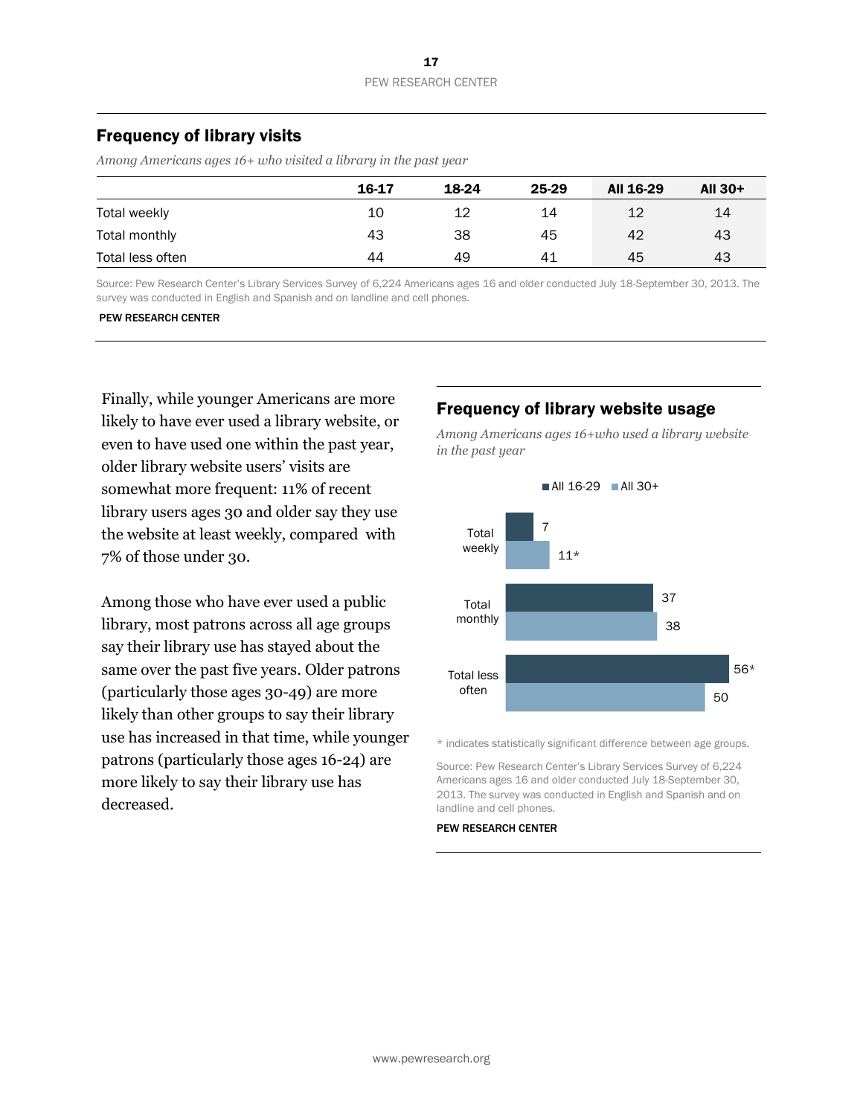# Frequency of library visits

*Among Americans ages 16+ who visited a library in the past year*

|                  | 16-17 | 18-24 | 25-29 | All 16-29 | All 30+ |
|------------------|-------|-------|-------|-----------|---------|
| Total weekly     | 10    | 12    | 14    | 12        | 14      |
| Total monthly    | 43    | 38    | 45    | 42        | 43      |
| Total less often | 44    | 49    | 41    | 45        | 43      |

Source: Pew Research Center's Library Services Survey of 6,224 Americans ages 16 and older conducted July 18-September 30, 2013. The survey was conducted in English and Spanish and on landline and cell phones.

#### PEW RESEARCH CENTER

Finally, while younger Americans are more likely to have ever used a library website, or even to have used one within the past year, older library website users' visits are somewhat more frequent: 11% of recent library users ages 30 and older say they use the website at least weekly, compared with 7% of those under 30.

Among those who have ever used a public library, most patrons across all age groups say their library use has stayed about the same over the past five years. Older patrons (particularly those ages 30-49) are more likely than other groups to say their library use has increased in that time, while younger patrons (particularly those ages 16-24) are more likely to say their library use has decreased.

#### Frequency of library website usage

*Among Americans ages 16+who used a library website in the past year*



\* indicates statistically significant difference between age groups.

Source: Pew Research Center's Library Services Survey of 6,224 Americans ages 16 and older conducted July 18-September 30, 2013. The survey was conducted in English and Spanish and on landline and cell phones.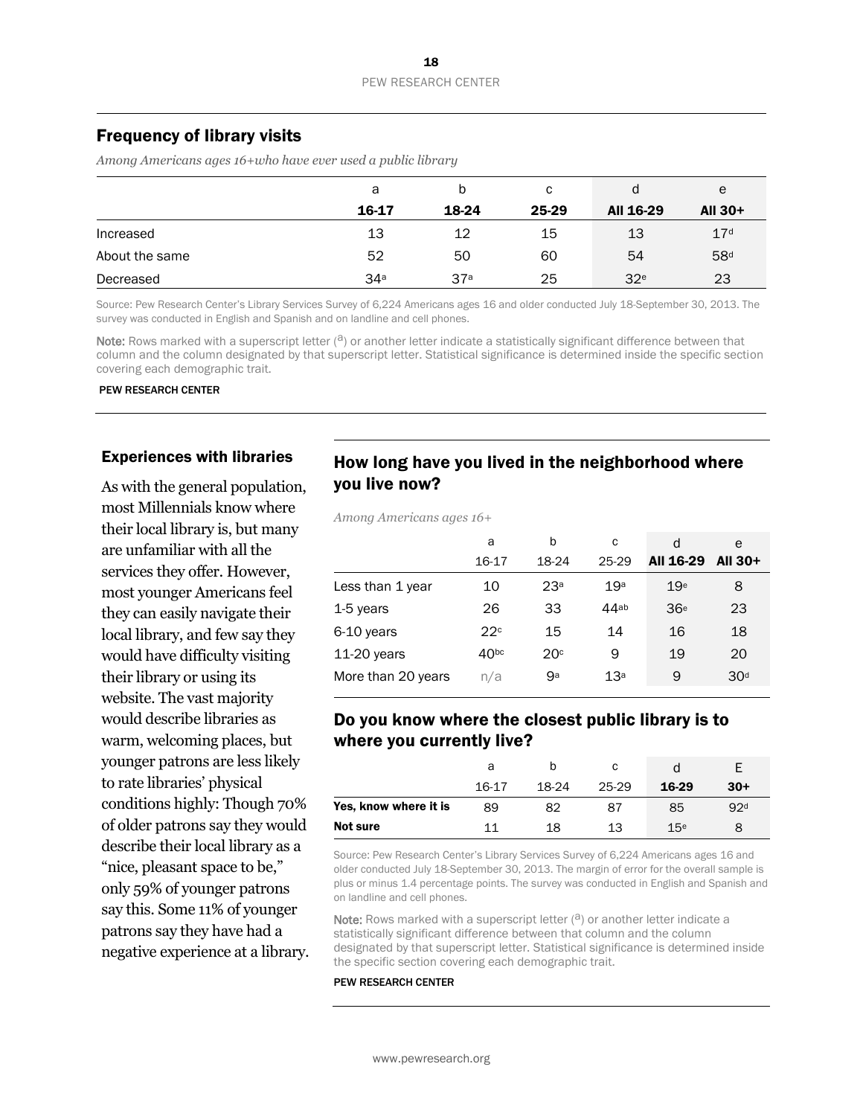# Frequency of library visits

*Among Americans ages 16+who have ever used a public library* 

|                | a               | b               | C     | d               | e               |
|----------------|-----------------|-----------------|-------|-----------------|-----------------|
|                | 16-17           | 18-24           | 25-29 | All 16-29       | All $30+$       |
| Increased      | 13              | 12              | 15    | 13              | 17 <sup>d</sup> |
| About the same | 52              | 50              | 60    | 54              | 58 <sup>d</sup> |
| Decreased      | 34 <sup>a</sup> | 37 <sup>a</sup> | 25    | 32 <sup>e</sup> | 23              |

Source: Pew Research Center's Library Services Survey of 6,224 Americans ages 16 and older conducted July 18-September 30, 2013. The survey was conducted in English and Spanish and on landline and cell phones.

Note: Rows marked with a superscript letter  $(3)$  or another letter indicate a statistically significant difference between that column and the column designated by that superscript letter. Statistical significance is determined inside the specific section covering each demographic trait.

PEW RESEARCH CENTER

#### Experiences with libraries

As with the general population, most Millennials know where their local library is, but many are unfamiliar with all the services they offer. However, most younger Americans feel they can easily navigate their local library, and few say they would have difficulty visiting their library or using its website. The vast majority would describe libraries as warm, welcoming places, but younger patrons are less likely to rate libraries' physical conditions highly: Though 70% of older patrons say they would describe their local library as a "nice, pleasant space to be," only 59% of younger patrons say this. Some 11% of younger patrons say they have had a negative experience at a library.

# How long have you lived in the neighborhood where you live now?

*Among Americans ages 16+*

|                    | a                | b               | C               | d               | e               |
|--------------------|------------------|-----------------|-----------------|-----------------|-----------------|
|                    | 16-17            | 18-24           | 25-29           | All 16-29       | <b>AII 30+</b>  |
| Less than 1 year   | 10               | 23 <sup>a</sup> | 19 <sup>a</sup> | 19 <sup>e</sup> | 8               |
| 1-5 years          | 26               | 33              | $44$ ab         | 36 <sup>e</sup> | 23              |
| 6-10 years         | 22c              | 15              | 14              | 16              | 18              |
| $11-20$ years      | 40 <sup>bc</sup> | 20 <sup>c</sup> | 9               | 19              | 20              |
| More than 20 years | n/a              | gа              | 13 <sup>a</sup> | 9               | 30 <sup>d</sup> |

# Do you know where the closest public library is to where you currently live?

|                       | а     |       | с     |                 |                 |
|-----------------------|-------|-------|-------|-----------------|-----------------|
|                       | 16-17 | 18-24 | 25-29 | 16-29           | $30+$           |
| Yes, know where it is | 89    | 82    | 87    | 85              | 92 <sup>d</sup> |
| Not sure              | 11    | 18    | 13    | 15 <sup>e</sup> |                 |

Source: Pew Research Center's Library Services Survey of 6,224 Americans ages 16 and older conducted July 18-September 30, 2013. The margin of error for the overall sample is plus or minus 1.4 percentage points. The survey was conducted in English and Spanish and on landline and cell phones.

Note: Rows marked with a superscript letter  $(2)$  or another letter indicate a statistically significant difference between that column and the column designated by that superscript letter. Statistical significance is determined inside the specific section covering each demographic trait.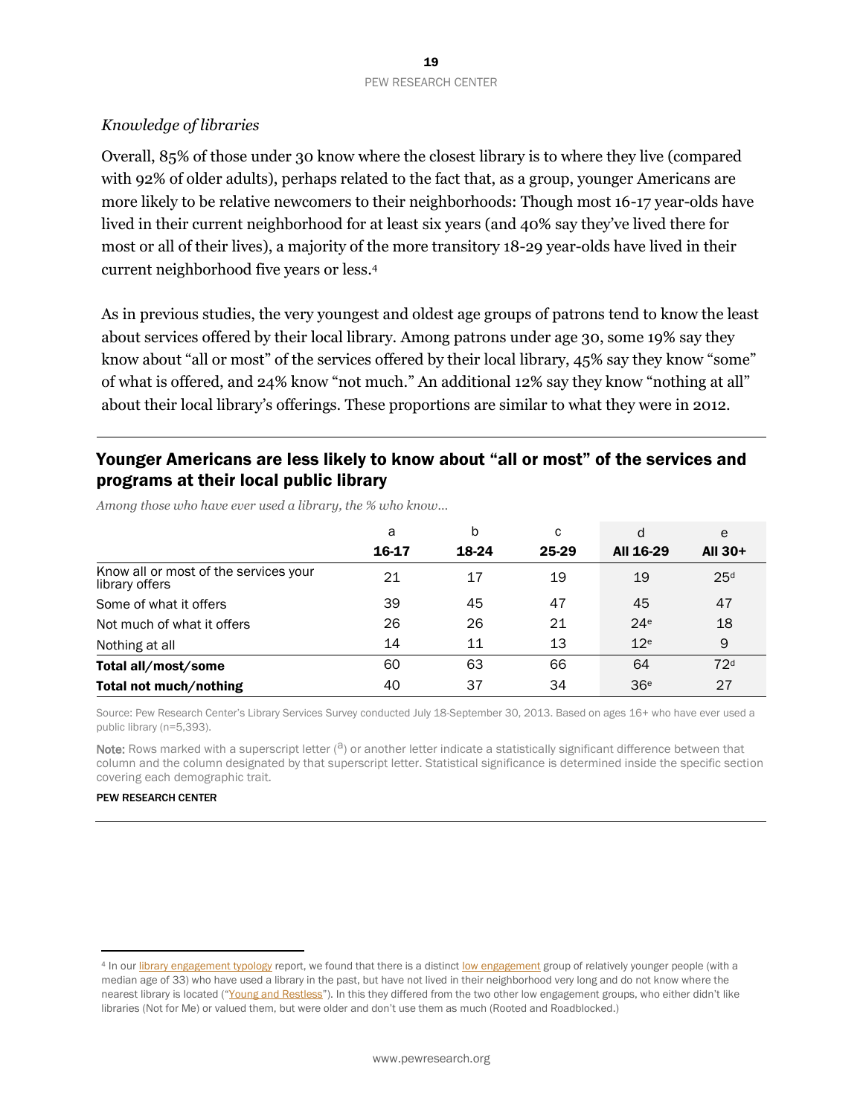# *Knowledge of libraries*

Overall, 85% of those under 30 know where the closest library is to where they live (compared with 92% of older adults), perhaps related to the fact that, as a group, younger Americans are more likely to be relative newcomers to their neighborhoods: Though most 16-17 year-olds have lived in their current neighborhood for at least six years (and 40% say they've lived there for most or all of their lives), a majority of the more transitory 18-29 year-olds have lived in their current neighborhood five years or less.<sup>4</sup>

As in previous studies, the very youngest and oldest age groups of patrons tend to know the least about services offered by their local library. Among patrons under age 30, some 19% say they know about "all or most" of the services offered by their local library, 45% say they know "some" of what is offered, and 24% know "not much." An additional 12% say they know "nothing at all" about their local library's offerings. These proportions are similar to what they were in 2012.

# Younger Americans are less likely to know about "all or most" of the services and programs at their local public library

*Among those who have ever used a library, the % who know…*

|                                                         | a     | b     | С     | d               | e               |
|---------------------------------------------------------|-------|-------|-------|-----------------|-----------------|
|                                                         | 16-17 | 18-24 | 25-29 | All 16-29       | All 30+         |
| Know all or most of the services your<br>library offers | 21    | 17    | 19    | 19              | 25 <sup>d</sup> |
| Some of what it offers                                  | 39    | 45    | 47    | 45              | 47              |
| Not much of what it offers                              | 26    | 26    | 21    | 24 <sup>e</sup> | 18              |
| Nothing at all                                          | 14    | 11    | 13    | 12 <sup>e</sup> | 9               |
| Total all/most/some                                     | 60    | 63    | 66    | 64              | 72 <sup>d</sup> |
| Total not much/nothing                                  | 40    | 37    | 34    | 36 <sup>e</sup> | 27              |

Source: Pew Research Center's Library Services Survey conducted July 18-September 30, 2013. Based on ages 16+ who have ever used a public library (n=5,393).

Note: Rows marked with a superscript letter  $(2)$  or another letter indicate a statistically significant difference between that column and the column designated by that superscript letter. Statistical significance is determined inside the specific section covering each demographic trait.

#### PEW RESEARCH CENTER

 $\overline{a}$ 

<sup>4</sup> In ou[r library engagement typology](http://www.pewinternet.org/2014/03/13/library-engagement-typology/) report, we found that there is a distinct [low engagement](http://www.pewinternet.org/2014/03/13/low-engagement/) group of relatively younger people (with a median age of 33) who have used a library in the past, but have not lived in their neighborhood very long and do not know where the nearest library is located ("[Young and Restless](http://www.pewinternet.org/2014/03/13/low-engagement/#young-and-restless)"). In this they differed from the two other low engagement groups, who either didn't like libraries (Not for Me) or valued them, but were older and don't use them as much (Rooted and Roadblocked.)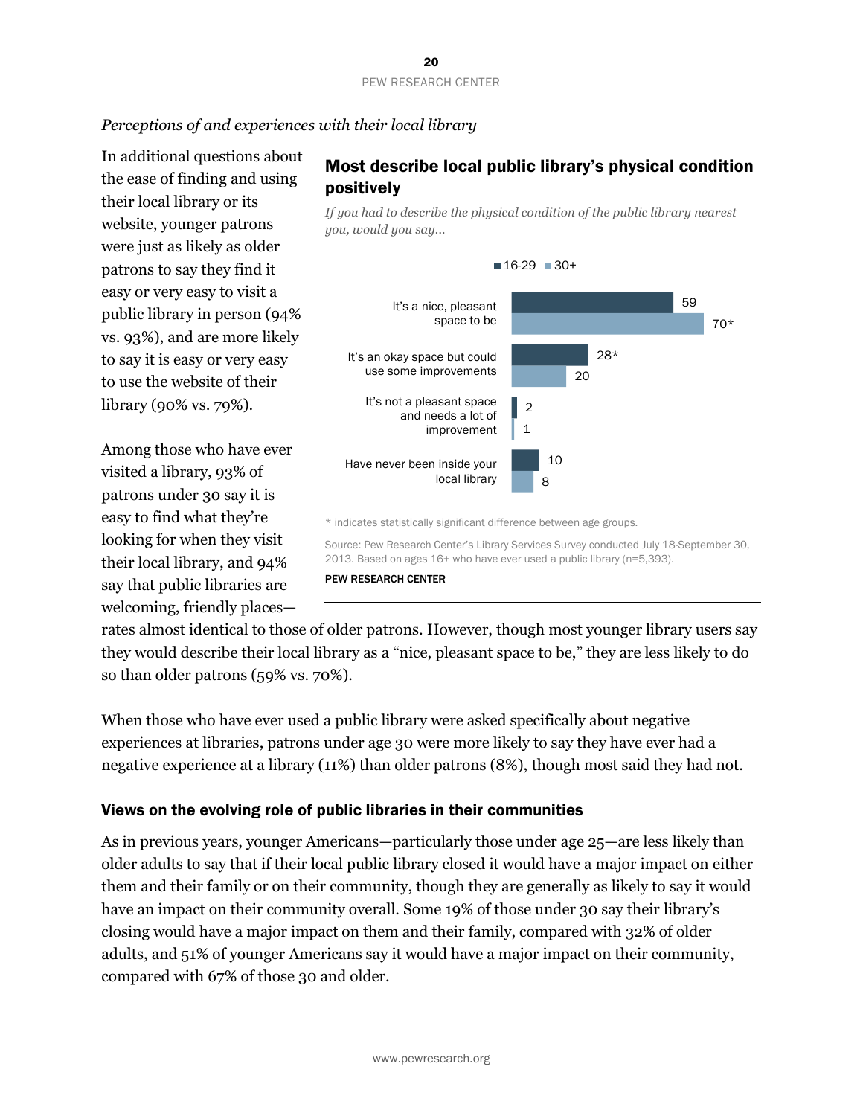# *Perceptions of and experiences with their local library*

In additional questions about the ease of finding and using their local library or its website, younger patrons were just as likely as older patrons to say they find it easy or very easy to visit a public library in person (94% vs. 93%), and are more likely to say it is easy or very easy to use the website of their library (90% vs. 79%).

Among those who have ever visited a library, 93% of patrons under 30 say it is easy to find what they're looking for when they visit their local library, and 94% say that public libraries are welcoming, friendly places—

# Most describe local public library's physical condition positively

*If you had to describe the physical condition of the public library nearest you, would you say...* 



rates almost identical to those of older patrons. However, though most younger library users say they would describe their local library as a "nice, pleasant space to be," they are less likely to do so than older patrons (59% vs. 70%).

When those who have ever used a public library were asked specifically about negative experiences at libraries, patrons under age 30 were more likely to say they have ever had a negative experience at a library (11%) than older patrons (8%), though most said they had not.

# Views on the evolving role of public libraries in their communities

As in previous years, younger Americans—particularly those under age 25—are less likely than older adults to say that if their local public library closed it would have a major impact on either them and their family or on their community, though they are generally as likely to say it would have an impact on their community overall. Some 19% of those under 30 say their library's closing would have a major impact on them and their family, compared with 32% of older adults, and 51% of younger Americans say it would have a major impact on their community, compared with 67% of those 30 and older.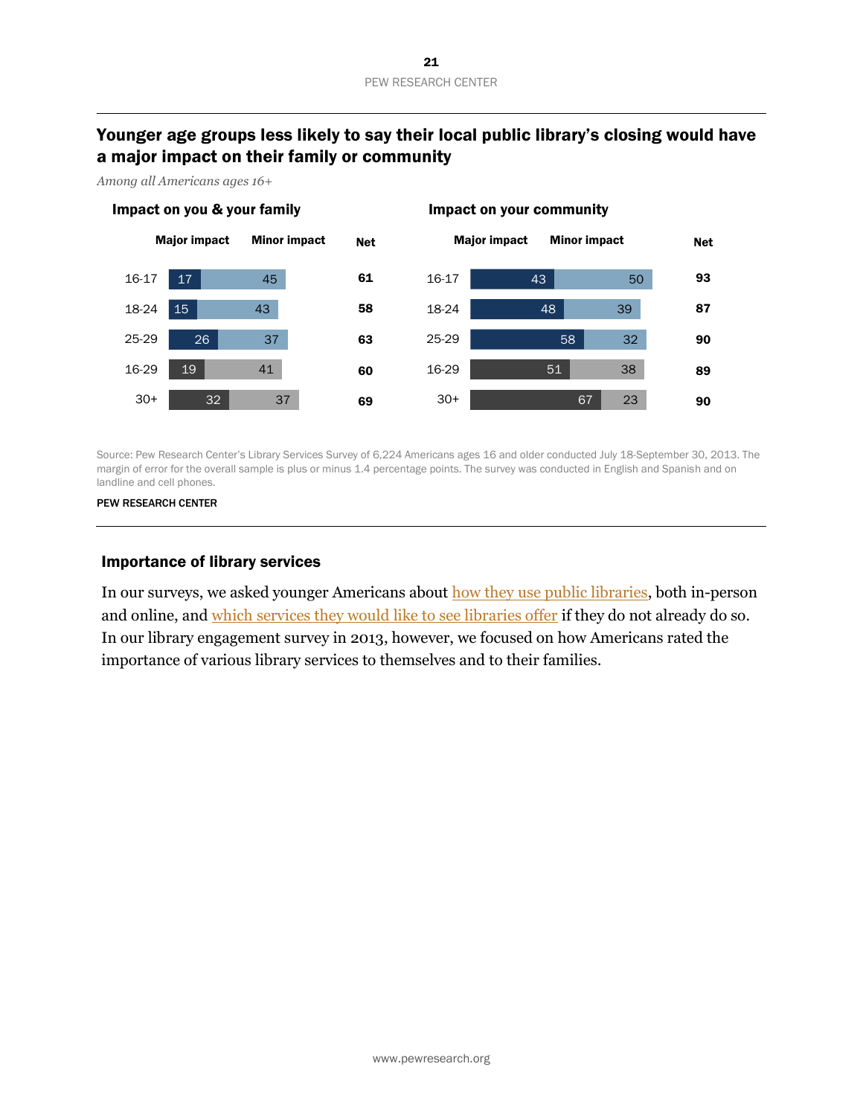# Younger age groups less likely to say their local public library's closing would have a major impact on their family or community

*Among all Americans ages 16+*



Source: Pew Research Center's Library Services Survey of 6,224 Americans ages 16 and older conducted July 18-September 30, 2013. The margin of error for the overall sample is plus or minus 1.4 percentage points. The survey was conducted in English and Spanish and on landline and cell phones.

PEW RESEARCH CENTER

#### Importance of library services

In our surveys, we asked younger Americans about how they [use public libraries,](http://libraries.pewinternet.org/2013/06/25/part-2-libraries-in-younger-americans-lives-and-communities/) both in-person and online, and [which services they would like to see libraries offer](http://libraries.pewinternet.org/2013/06/25/part-3-library-patrons-activities-and-expectations/) if they do not already do so. In our library engagement survey in 2013, however, we focused on how Americans rated the importance of various library services to themselves and to their families.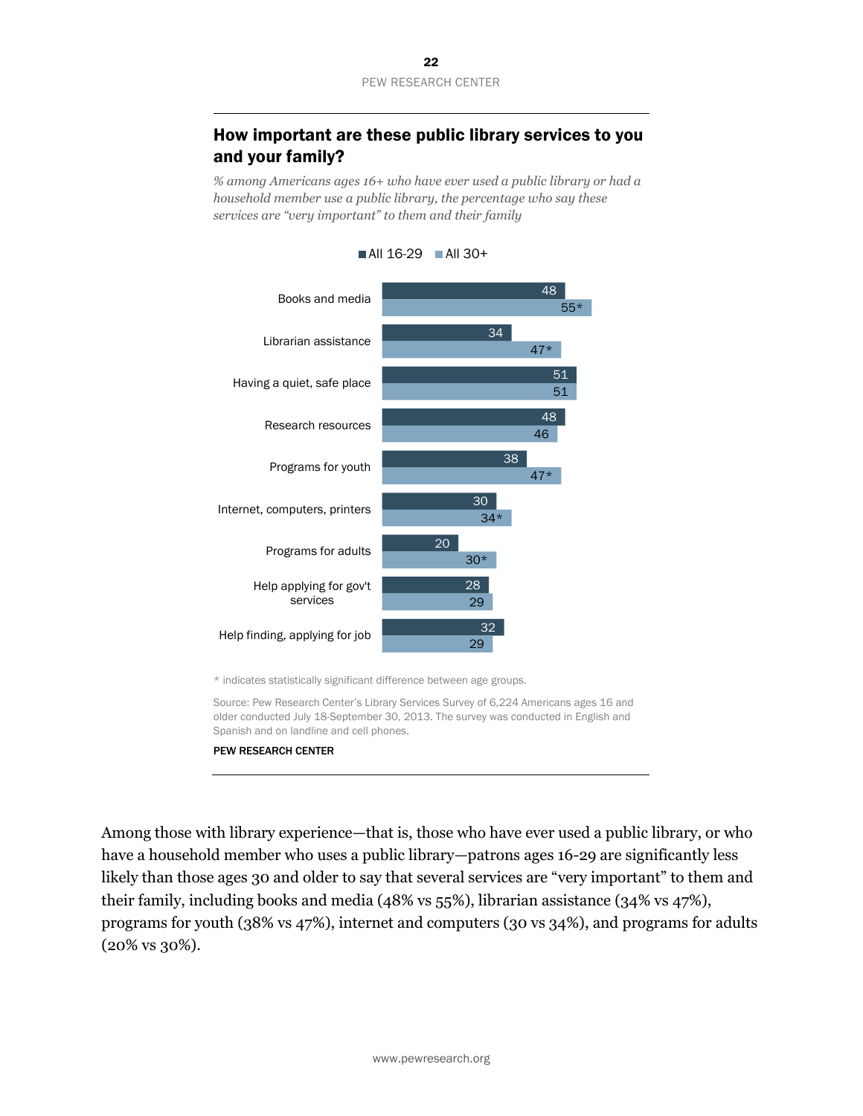# How important are these public library services to you and your family?

*% among Americans ages 16+ who have ever used a public library or had a household member use a public library, the percentage who say these services are "very important" to them and their family*



 $\blacksquare$  All 16-29  $\blacksquare$  All 30+

Source: Pew Research Center's Library Services Survey of 6,224 Americans ages 16 and older conducted July 18-September 30, 2013. The survey was conducted in English and Spanish and on landline and cell phones.

#### PEW RESEARCH CENTER

Among those with library experience—that is, those who have ever used a public library, or who have a household member who uses a public library—patrons ages 16-29 are significantly less likely than those ages 30 and older to say that several services are "very important" to them and their family, including books and media (48% vs 55%), librarian assistance (34% vs 47%), programs for youth (38% vs 47%), internet and computers (30 vs 34%), and programs for adults (20% vs 30%).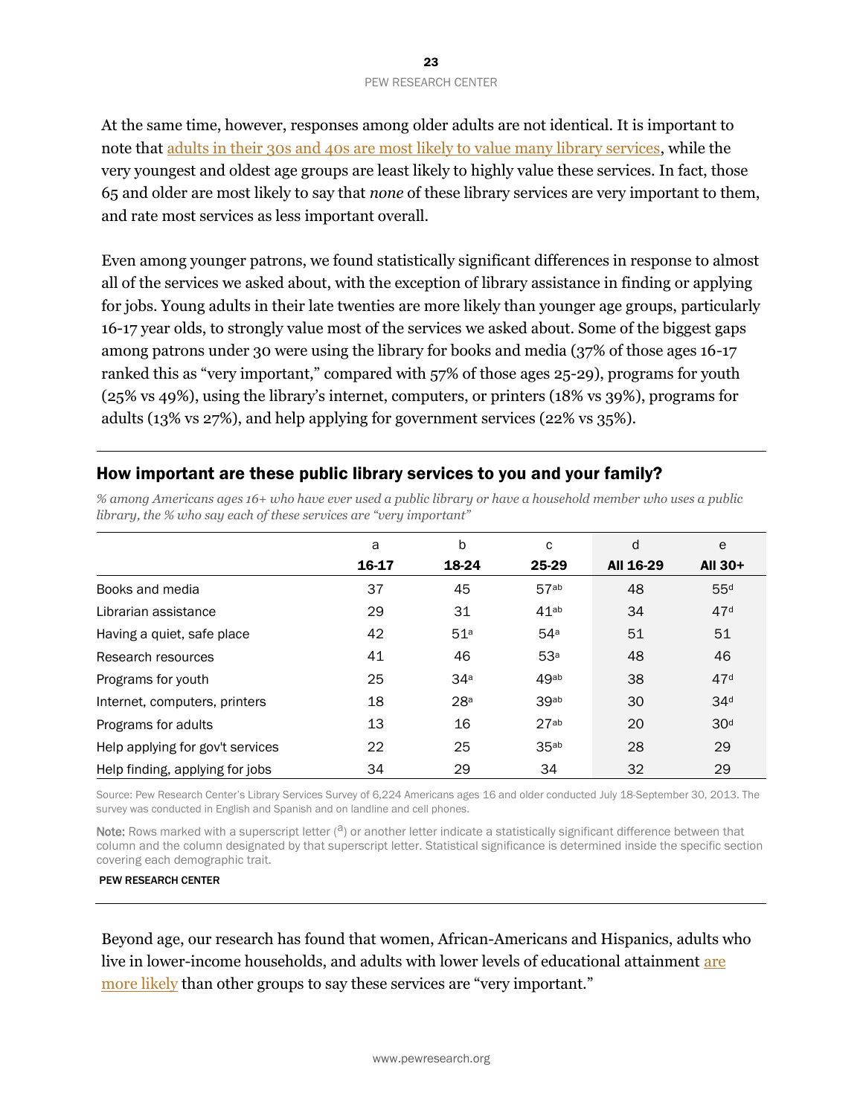At the same time, however, responses among older adults are not identical. It is important to note that [adults in their 30s and 40s are most likely to value many library services,](http://libraries.pewinternet.org/2013/12/11/section-2-public-libraries-importance-and-impact/) while the very youngest and oldest age groups are least likely to highly value these services. In fact, those 65 and older are most likely to say that *none* of these library services are very important to them, and rate most services as less important overall.

Even among younger patrons, we found statistically significant differences in response to almost all of the services we asked about, with the exception of library assistance in finding or applying for jobs. Young adults in their late twenties are more likely than younger age groups, particularly 16-17 year olds, to strongly value most of the services we asked about. Some of the biggest gaps among patrons under 30 were using the library for books and media (37% of those ages 16-17 ranked this as "very important," compared with 57% of those ages 25-29), programs for youth (25% vs 49%), using the library's internet, computers, or printers (18% vs 39%), programs for adults (13% vs 27%), and help applying for government services (22% vs 35%).

# How important are these public library services to you and your family?

*% among Americans ages 16+ who have ever used a public library or have a household member who uses a public library, the % who say each of these services are "very important"* 

|                                  | a     | b               | c                | d         | e               |
|----------------------------------|-------|-----------------|------------------|-----------|-----------------|
|                                  | 16-17 | 18-24           | 25-29            | All 16-29 | All 30+         |
| Books and media                  | 37    | 45              | 57ab             | 48        | 55 <sup>d</sup> |
| Librarian assistance             | 29    | 31              | 41 <sub>ab</sub> | 34        | 47 <sup>d</sup> |
| Having a quiet, safe place       | 42    | 51 <sup>a</sup> | 54 <sup>a</sup>  | 51        | 51              |
| Research resources               | 41    | 46              | 53 <sup>a</sup>  | 48        | 46              |
| Programs for youth               | 25    | 34a             | 49ab             | 38        | 47 <sup>d</sup> |
| Internet, computers, printers    | 18    | 28a             | 39ab             | 30        | 34 <sup>d</sup> |
| Programs for adults              | 13    | 16              | 27ab             | 20        | 30 <sup>d</sup> |
| Help applying for gov't services | 22    | 25              | 35ab             | 28        | 29              |
| Help finding, applying for jobs  | 34    | 29              | 34               | 32        | 29              |

Source: Pew Research Center's Library Services Survey of 6,224 Americans ages 16 and older conducted July 18-September 30, 2013. The survey was conducted in English and Spanish and on landline and cell phones.

Note: Rows marked with a superscript letter  $(3)$  or another letter indicate a statistically significant difference between that column and the column designated by that superscript letter. Statistical significance is determined inside the specific section covering each demographic trait.

#### PEW RESEARCH CENTER

Beyond age, our research has found that women, African-Americans and Hispanics, adults who live in lower-income households, and adults with lower levels of educational attainment [are](http://libraries.pewinternet.org/2013/12/11/section-2-public-libraries-importance-and-impact/)  [more likely](http://libraries.pewinternet.org/2013/12/11/section-2-public-libraries-importance-and-impact/) than other groups to say these services are "very important."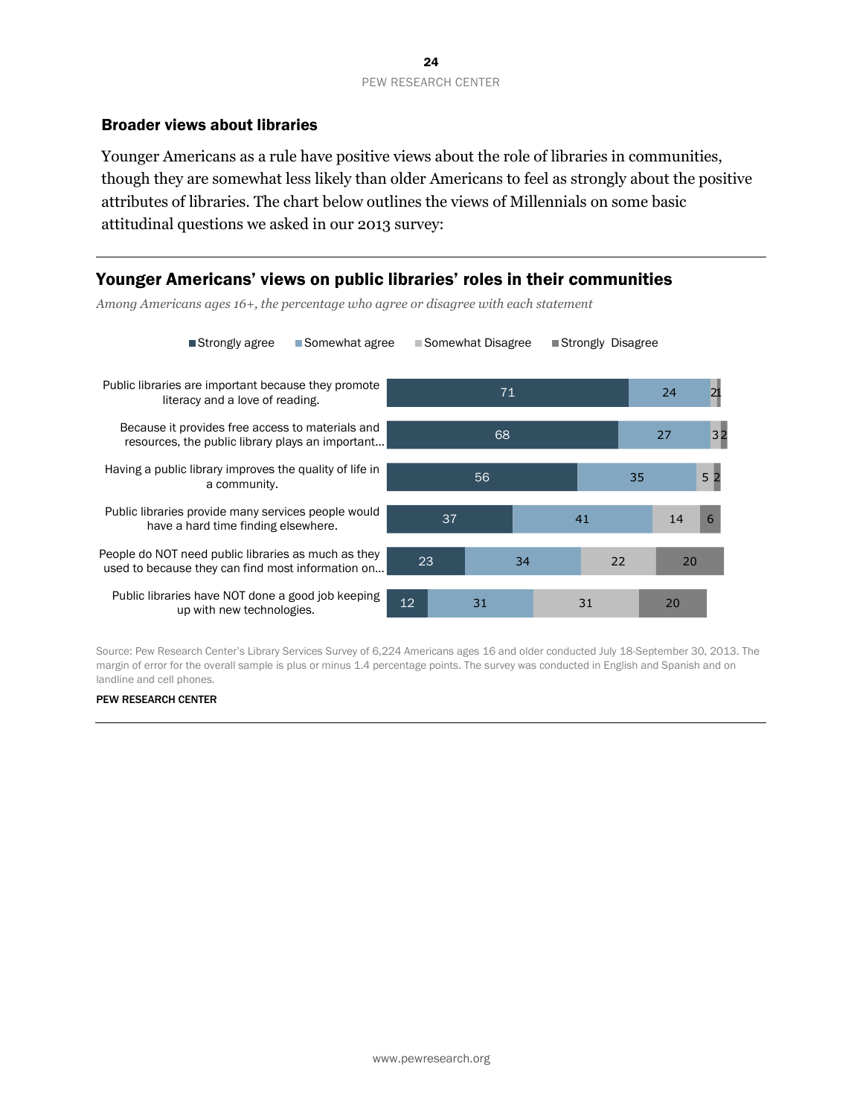#### Broader views about libraries

Younger Americans as a rule have positive views about the role of libraries in communities, though they are somewhat less likely than older Americans to feel as strongly about the positive attributes of libraries. The chart below outlines the views of Millennials on some basic attitudinal questions we asked in our 2013 survey:

2 1

3 2

5 2

6

# Younger Americans' views on public libraries' roles in their communities

71 68 56 37 23 12 24 27 35 41 34 31 14 22 31 20 20 Public libraries are important because they promote literacy and a love of reading. Because it provides free access to materials and resources, the public library plays an important… Having a public library improves the quality of life in a community. Public libraries provide many services people would have a hard time finding elsewhere. People do NOT need public libraries as much as they used to because they can find most information on… Public libraries have NOT done a good job keeping up with new technologies. ■Strongly agree Bomewhat agree Bomewhat Disagree Bustrongly Disagree

*Among Americans ages 16+, the percentage who agree or disagree with each statement*

Source: Pew Research Center's Library Services Survey of 6,224 Americans ages 16 and older conducted July 18-September 30, 2013. The margin of error for the overall sample is plus or minus 1.4 percentage points. The survey was conducted in English and Spanish and on landline and cell phones.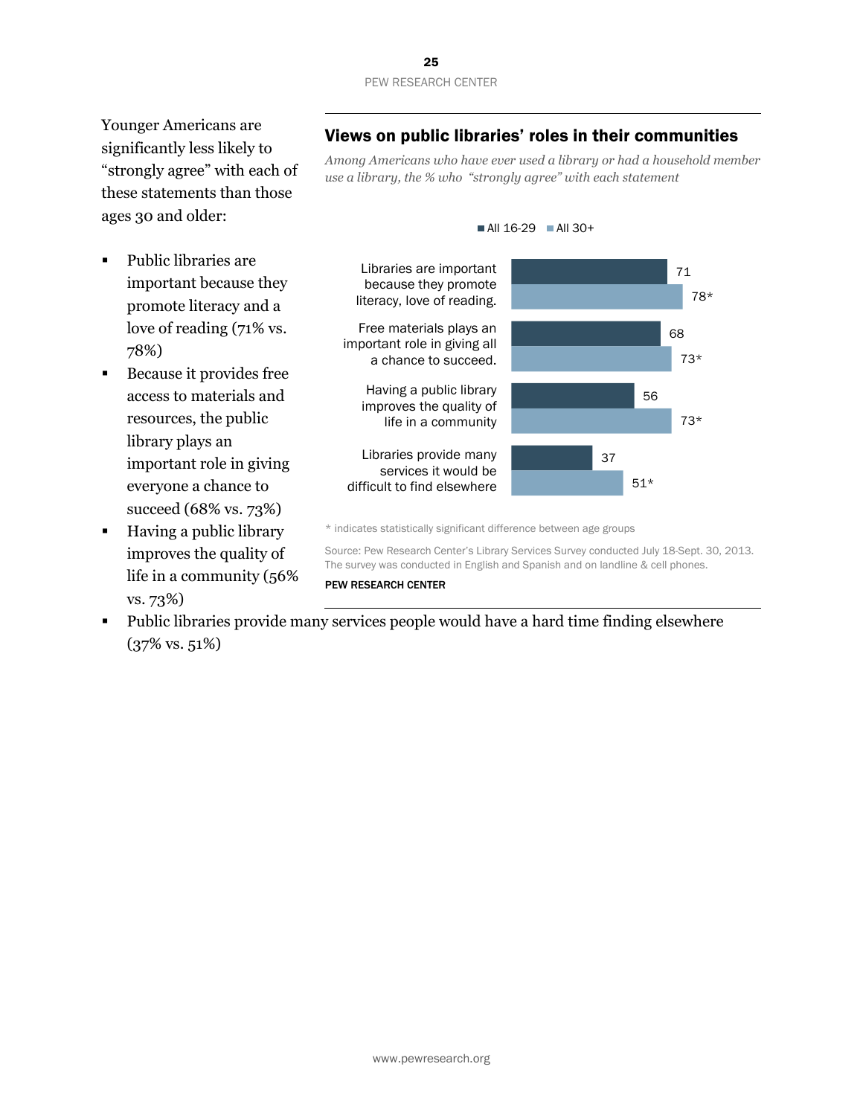Younger Americans are significantly less likely to "strongly agree" with each of these statements than those ages 30 and older:

- Public libraries are important because they promote literacy and a love of reading (71% vs. 78%)
- Because it provides free access to materials and resources, the public library plays an important role in giving everyone a chance to succeed (68% vs. 73%)
- Having a public library improves the quality of life in a community (56% vs. 73%)

# Views on public libraries' roles in their communities

*Among Americans who have ever used a library or had a household member use a library, the % who "strongly agree" with each statement*



#### $\blacksquare$  All 16-29  $\blacksquare$  All 30+

\* indicates statistically significant difference between age groups

Source: Pew Research Center's Library Services Survey conducted July 18-Sept. 30, 2013. The survey was conducted in English and Spanish and on landline & cell phones.

#### PEW RESEARCH CENTER

 Public libraries provide many services people would have a hard time finding elsewhere (37% vs. 51%)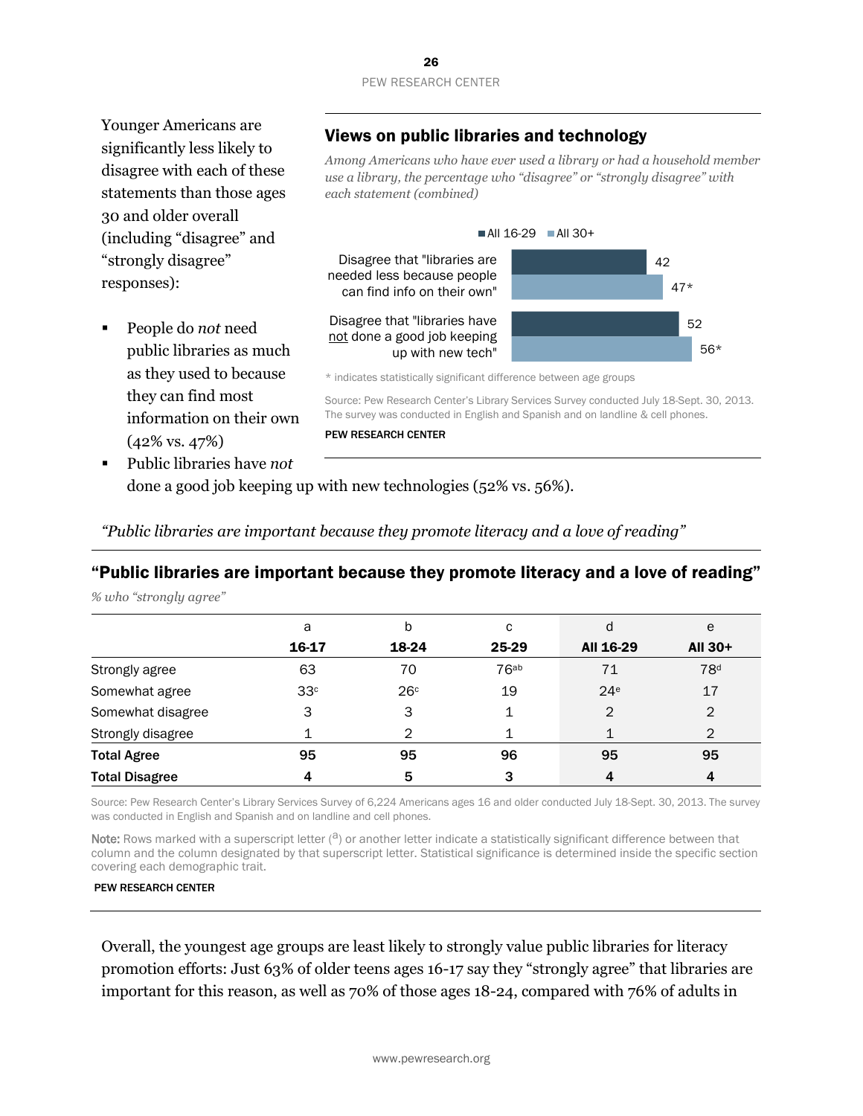Younger Americans are significantly less likely to disagree with each of these statements than those ages 30 and older overall (including "disagree" and "strongly disagree" responses):

 People do *not* need public libraries as much as they used to because they can find most information on their own (42% vs. 47%)

# Views on public libraries and technology

*Among Americans who have ever used a library or had a household member use a library, the percentage who "disagree" or "strongly disagree" with each statement (combined)*



\* indicates statistically significant difference between age groups

Source: Pew Research Center's Library Services Survey conducted July 18-Sept. 30, 2013. The survey was conducted in English and Spanish and on landline & cell phones.

#### PEW RESEARCH CENTER

 Public libraries have *not* done a good job keeping up with new technologies (52% vs. 56%).

*"Public libraries are important because they promote literacy and a love of reading"*

# "Public libraries are important because they promote literacy and a love of reading"

*% who "strongly agree"* 

|                       | а               | b               | с                | d               | e               |
|-----------------------|-----------------|-----------------|------------------|-----------------|-----------------|
|                       | 16-17           | 18-24           | 25-29            | All 16-29       | All 30+         |
| Strongly agree        | 63              | 70              | 76 <sub>ab</sub> | 71              | 78 <sup>d</sup> |
| Somewhat agree        | 33 <sup>c</sup> | 26 <sup>c</sup> | 19               | 24 <sup>e</sup> | 17              |
| Somewhat disagree     | 3               | 3               | ◢                | 2               | 2               |
| Strongly disagree     |                 | 2               |                  |                 | $\overline{2}$  |
| <b>Total Agree</b>    | 95              | 95              | 96               | 95              | 95              |
| <b>Total Disagree</b> | 4               | 5               | 3                | 4               | 4               |

Source: Pew Research Center's Library Services Survey of 6,224 Americans ages 16 and older conducted July 18-Sept. 30, 2013. The survey was conducted in English and Spanish and on landline and cell phones.

Note: Rows marked with a superscript letter  $(2)$  or another letter indicate a statistically significant difference between that column and the column designated by that superscript letter. Statistical significance is determined inside the specific section covering each demographic trait.

#### PEW RESEARCH CENTER

Overall, the youngest age groups are least likely to strongly value public libraries for literacy promotion efforts: Just 63% of older teens ages 16-17 say they "strongly agree" that libraries are important for this reason, as well as 70% of those ages 18-24, compared with 76% of adults in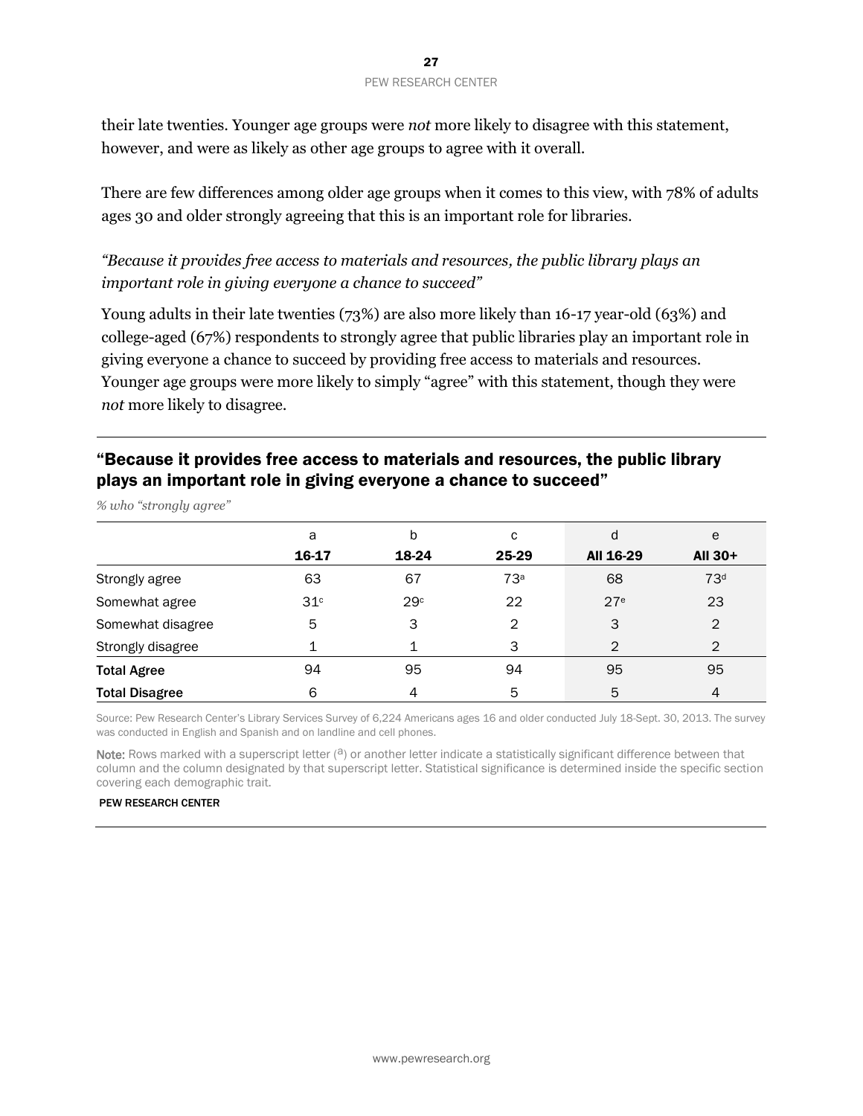their late twenties. Younger age groups were *not* more likely to disagree with this statement, however, and were as likely as other age groups to agree with it overall.

There are few differences among older age groups when it comes to this view, with 78% of adults ages 30 and older strongly agreeing that this is an important role for libraries.

*"Because it provides free access to materials and resources, the public library plays an important role in giving everyone a chance to succeed"*

Young adults in their late twenties (73%) are also more likely than 16-17 year-old (63%) and college-aged (67%) respondents to strongly agree that public libraries play an important role in giving everyone a chance to succeed by providing free access to materials and resources. Younger age groups were more likely to simply "agree" with this statement, though they were *not* more likely to disagree.

# "Because it provides free access to materials and resources, the public library plays an important role in giving everyone a chance to succeed"

|                       | a               | b     | с     | d               | e               |
|-----------------------|-----------------|-------|-------|-----------------|-----------------|
|                       | 16-17           | 18-24 | 25-29 | All 16-29       | <b>AII 30+</b>  |
| Strongly agree        | 63              | 67    | 73a   | 68              | 73 <sup>d</sup> |
| Somewhat agree        | 31 <sup>c</sup> | 29c   | 22    | 27 <sup>e</sup> | 23              |
| Somewhat disagree     | 5               | 3     | 2     | 3               | $\overline{2}$  |
| Strongly disagree     |                 |       | 3     | 2               | $\mathcal{P}$   |
| <b>Total Agree</b>    | 94              | 95    | 94    | 95              | 95              |
| <b>Total Disagree</b> | 6               |       | 5     | 5               | 4               |

*% who "strongly agree"* 

Source: Pew Research Center's Library Services Survey of 6,224 Americans ages 16 and older conducted July 18-Sept. 30, 2013. The survey was conducted in English and Spanish and on landline and cell phones.

Note: Rows marked with a superscript letter  $(3)$  or another letter indicate a statistically significant difference between that column and the column designated by that superscript letter. Statistical significance is determined inside the specific section covering each demographic trait.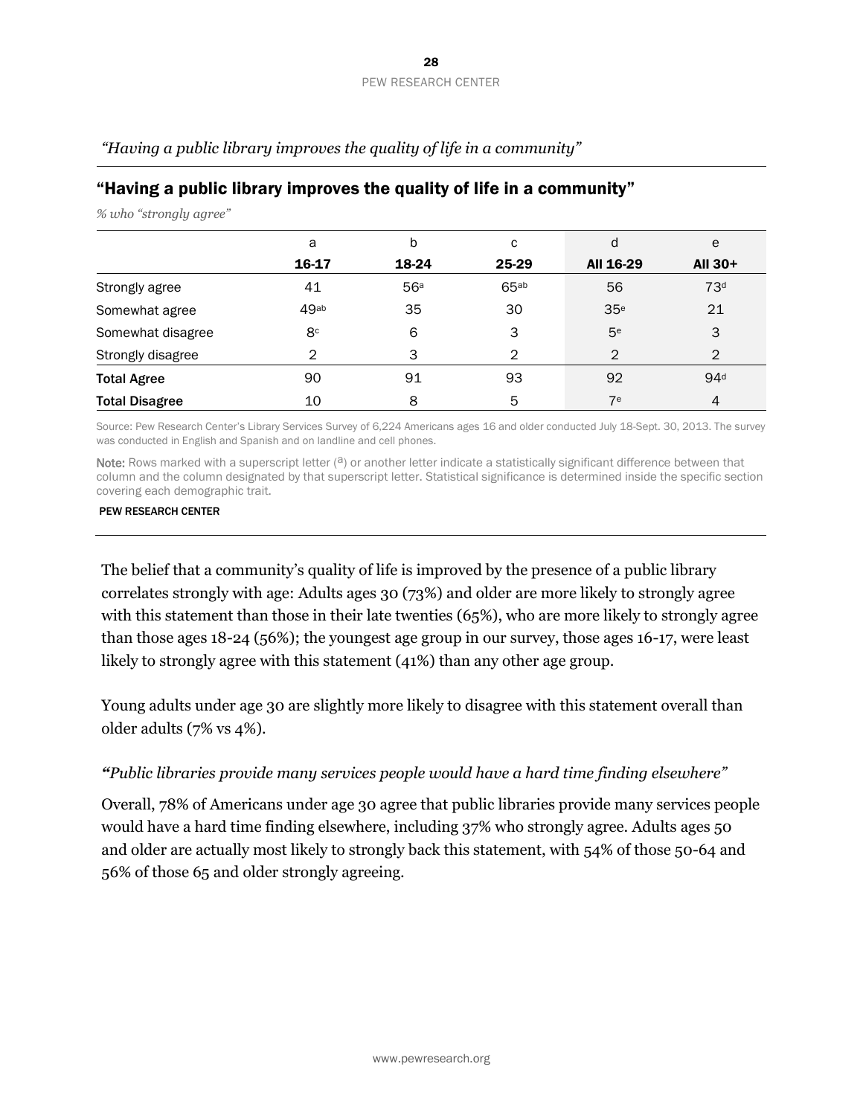| ັ້                    |                |       |                  |                 |                 |
|-----------------------|----------------|-------|------------------|-----------------|-----------------|
|                       | a              | b     | С                | d               | e               |
|                       | 16-17          | 18-24 | 25-29            | All 16-29       | All 30+         |
| Strongly agree        | 41             | 56a   | 65 <sup>ab</sup> | 56              | 73 <sup>d</sup> |
| Somewhat agree        | 49ab           | 35    | 30               | 35 <sup>e</sup> | 21              |
| Somewhat disagree     | 8 <sup>c</sup> | 6     | 3                | 5 <sup>e</sup>  | 3               |
| Strongly disagree     | 2              | 3     | 2                | $\overline{2}$  | $\mathfrak{D}$  |
| <b>Total Agree</b>    | 90             | 91    | 93               | 92              | 94 <sup>d</sup> |
| <b>Total Disagree</b> | 10             | 8     | 5                | 7 <sup>e</sup>  | 4               |

*"Having a public library improves the quality of life in a community"*

# "Having a public library improves the quality of life in a community"

*% who "strongly agree"* 

Source: Pew Research Center's Library Services Survey of 6,224 Americans ages 16 and older conducted July 18-Sept. 30, 2013. The survey was conducted in English and Spanish and on landline and cell phones.

Note: Rows marked with a superscript letter  $(2)$  or another letter indicate a statistically significant difference between that column and the column designated by that superscript letter. Statistical significance is determined inside the specific section covering each demographic trait.

#### PEW RESEARCH CENTER

The belief that a community's quality of life is improved by the presence of a public library correlates strongly with age: Adults ages 30 (73%) and older are more likely to strongly agree with this statement than those in their late twenties (65%), who are more likely to strongly agree than those ages 18-24 (56%); the youngest age group in our survey, those ages 16-17, were least likely to strongly agree with this statement (41%) than any other age group.

Young adults under age 30 are slightly more likely to disagree with this statement overall than older adults (7% vs 4%).

## *"Public libraries provide many services people would have a hard time finding elsewhere"*

Overall, 78% of Americans under age 30 agree that public libraries provide many services people would have a hard time finding elsewhere, including 37% who strongly agree. Adults ages 50 and older are actually most likely to strongly back this statement, with 54% of those 50-64 and 56% of those 65 and older strongly agreeing.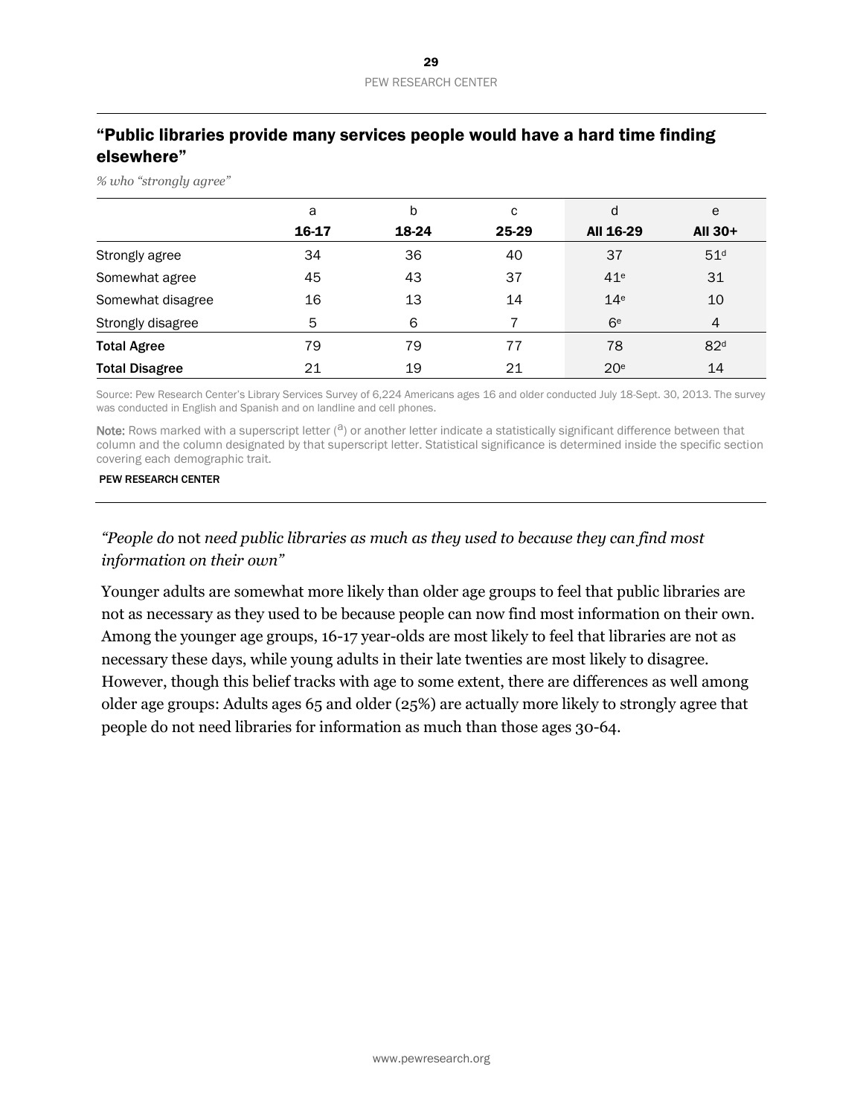# "Public libraries provide many services people would have a hard time finding elsewhere"

*% who "strongly agree"*

|                       | a     | b     | с     | d               | e               |
|-----------------------|-------|-------|-------|-----------------|-----------------|
|                       | 16-17 | 18-24 | 25-29 | All 16-29       | All 30+         |
| Strongly agree        | 34    | 36    | 40    | 37              | 51 <sup>d</sup> |
| Somewhat agree        | 45    | 43    | 37    | 41 <sup>e</sup> | 31              |
| Somewhat disagree     | 16    | 13    | 14    | 14 <sup>e</sup> | 10              |
| Strongly disagree     | 5     | 6     |       | 6 <sup>e</sup>  | 4               |
| <b>Total Agree</b>    | 79    | 79    | 77    | 78              | 82 <sup>d</sup> |
| <b>Total Disagree</b> | 21    | 19    | 21    | 20 <sup>e</sup> | 14              |

Source: Pew Research Center's Library Services Survey of 6,224 Americans ages 16 and older conducted July 18-Sept. 30, 2013. The survey was conducted in English and Spanish and on landline and cell phones.

Note: Rows marked with a superscript letter  $(2)$  or another letter indicate a statistically significant difference between that column and the column designated by that superscript letter. Statistical significance is determined inside the specific section covering each demographic trait.

#### PEW RESEARCH CENTER

# *"People do* not *need public libraries as much as they used to because they can find most information on their own"*

Younger adults are somewhat more likely than older age groups to feel that public libraries are not as necessary as they used to be because people can now find most information on their own. Among the younger age groups, 16-17 year-olds are most likely to feel that libraries are not as necessary these days, while young adults in their late twenties are most likely to disagree. However, though this belief tracks with age to some extent, there are differences as well among older age groups: Adults ages 65 and older (25%) are actually more likely to strongly agree that people do not need libraries for information as much than those ages 30-64.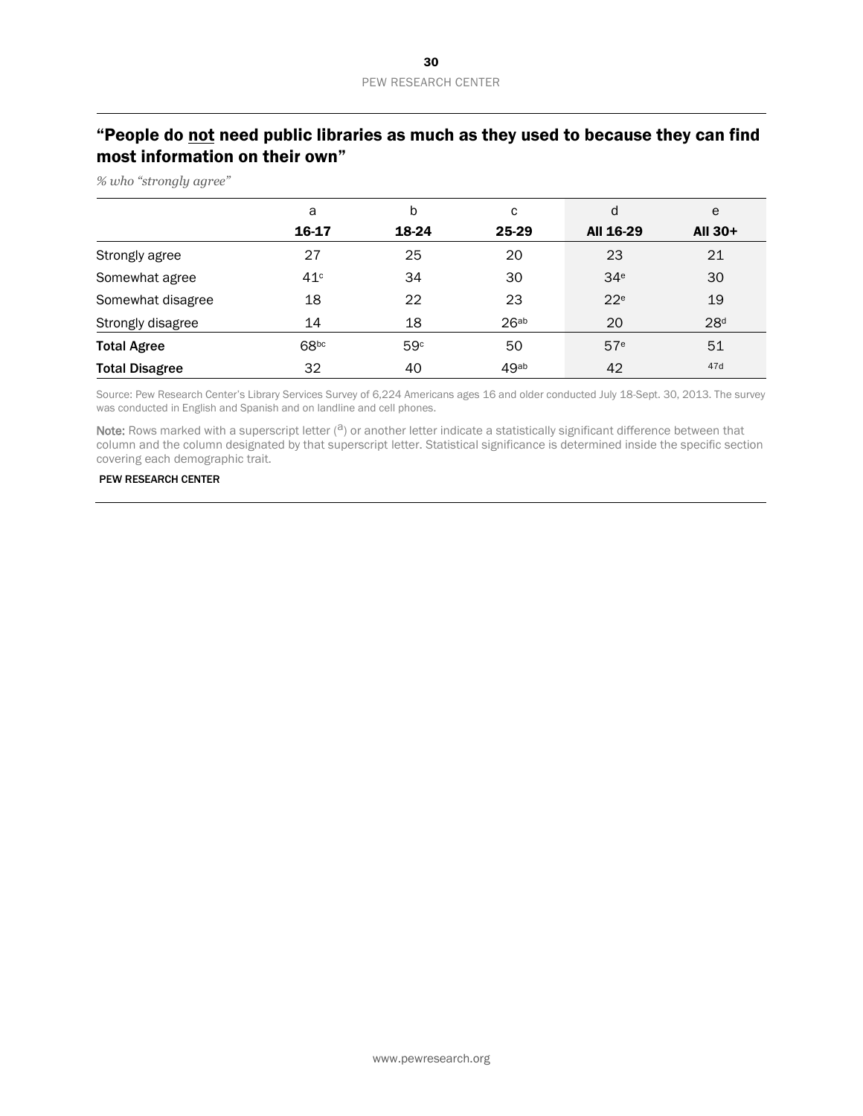# "People do not need public libraries as much as they used to because they can find most information on their own"

*% who "strongly agree"* 

|                       | a     | b     | с                | d               | e               |
|-----------------------|-------|-------|------------------|-----------------|-----------------|
|                       | 16-17 | 18-24 | 25-29            | All 16-29       | All 30+         |
| Strongly agree        | 27    | 25    | 20               | 23              | 21              |
| Somewhat agree        | 41c   | 34    | 30               | 34 <sup>e</sup> | 30              |
| Somewhat disagree     | 18    | 22    | 23               | 22 <sup>e</sup> | 19              |
| Strongly disagree     | 14    | 18    | 26 <sup>ab</sup> | 20              | 28 <sup>d</sup> |
| <b>Total Agree</b>    | 68bc  | 59c   | 50               | 57 <sup>e</sup> | 51              |
| <b>Total Disagree</b> | 32    | 40    | 49ab             | 42              | 47d             |

Source: Pew Research Center's Library Services Survey of 6,224 Americans ages 16 and older conducted July 18-Sept. 30, 2013. The survey was conducted in English and Spanish and on landline and cell phones.

Note: Rows marked with a superscript letter  $(3)$  or another letter indicate a statistically significant difference between that column and the column designated by that superscript letter. Statistical significance is determined inside the specific section covering each demographic trait.